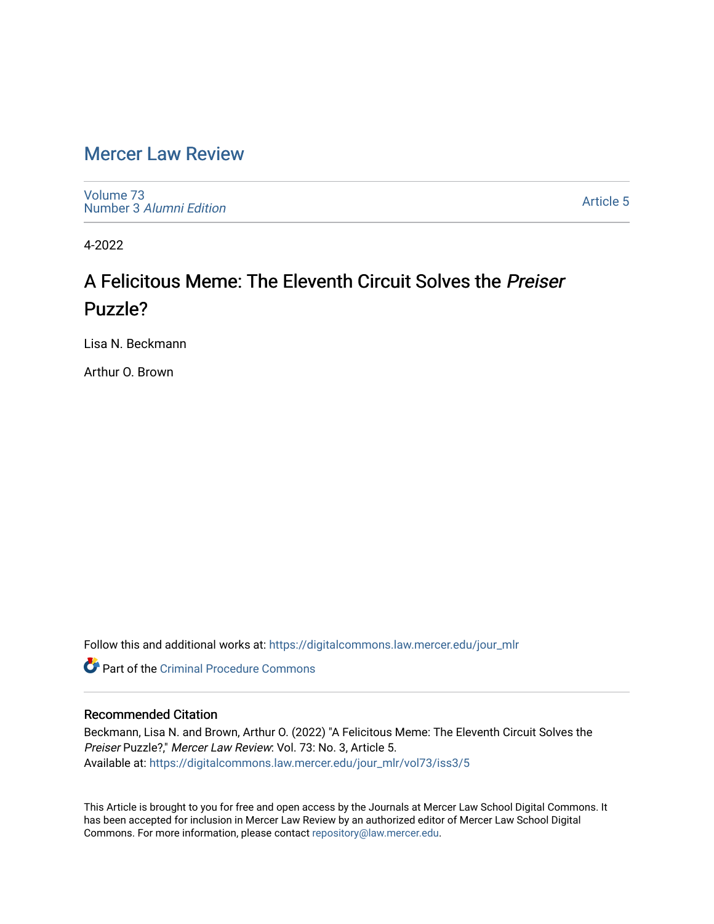# [Mercer Law Review](https://digitalcommons.law.mercer.edu/jour_mlr)

[Volume 73](https://digitalcommons.law.mercer.edu/jour_mlr/vol73) Number 3 [Alumni Edition](https://digitalcommons.law.mercer.edu/jour_mlr/vol73/iss3) 

[Article 5](https://digitalcommons.law.mercer.edu/jour_mlr/vol73/iss3/5) 

4-2022

# A Felicitous Meme: The Eleventh Circuit Solves the Preiser Puzzle?

Lisa N. Beckmann

Arthur O. Brown

Follow this and additional works at: [https://digitalcommons.law.mercer.edu/jour\\_mlr](https://digitalcommons.law.mercer.edu/jour_mlr?utm_source=digitalcommons.law.mercer.edu%2Fjour_mlr%2Fvol73%2Fiss3%2F5&utm_medium=PDF&utm_campaign=PDFCoverPages)

**C** Part of the Criminal Procedure Commons

## Recommended Citation

Beckmann, Lisa N. and Brown, Arthur O. (2022) "A Felicitous Meme: The Eleventh Circuit Solves the Preiser Puzzle?," Mercer Law Review: Vol. 73: No. 3, Article 5. Available at: [https://digitalcommons.law.mercer.edu/jour\\_mlr/vol73/iss3/5](https://digitalcommons.law.mercer.edu/jour_mlr/vol73/iss3/5?utm_source=digitalcommons.law.mercer.edu%2Fjour_mlr%2Fvol73%2Fiss3%2F5&utm_medium=PDF&utm_campaign=PDFCoverPages)

This Article is brought to you for free and open access by the Journals at Mercer Law School Digital Commons. It has been accepted for inclusion in Mercer Law Review by an authorized editor of Mercer Law School Digital Commons. For more information, please contact [repository@law.mercer.edu.](mailto:repository@law.mercer.edu)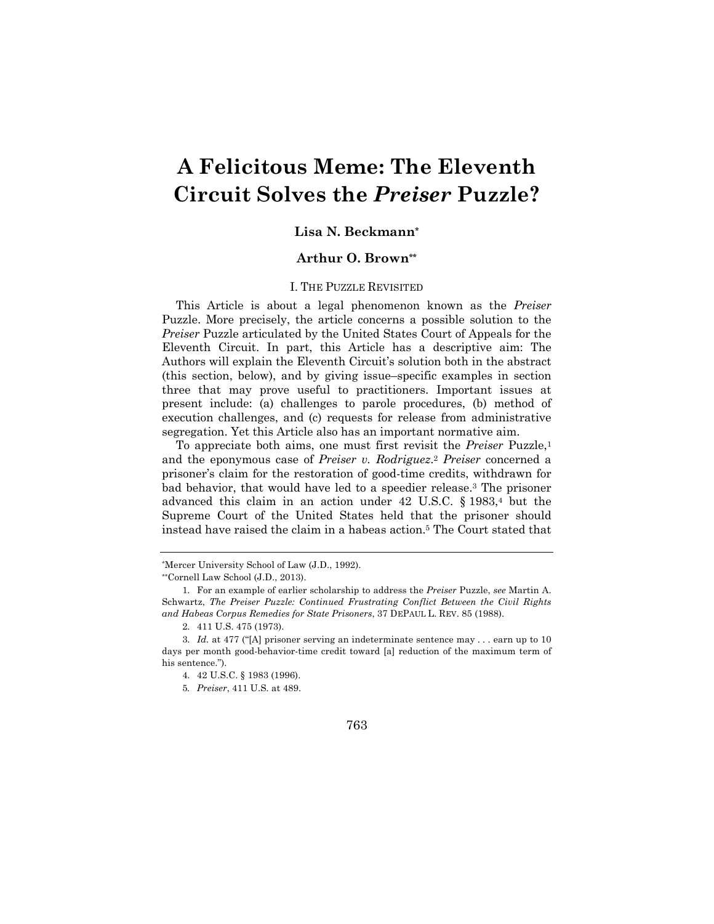# **A Felicitous Meme: The Eleventh Circuit Solves the** *Preiser* **Puzzle?**

### **Lisa N. Beckmann\***

### **Arthur O. Brown\*\***

#### I. THE PUZZLE REVISITED

This Article is about a legal phenomenon known as the *Preiser* Puzzle. More precisely, the article concerns a possible solution to the *Preiser* Puzzle articulated by the United States Court of Appeals for the Eleventh Circuit. In part, this Article has a descriptive aim: The Authors will explain the Eleventh Circuit's solution both in the abstract (this section, below), and by giving issue–specific examples in section three that may prove useful to practitioners. Important issues at present include: (a) challenges to parole procedures, (b) method of execution challenges, and (c) requests for release from administrative segregation. Yet this Article also has an important normative aim.

To appreciate both aims, one must first revisit the *Preiser* Puzzle,1 and the eponymous case of *Preiser v. Rodriguez*.2 *Preiser* concerned a prisoner's claim for the restoration of good-time credits, withdrawn for bad behavior, that would have led to a speedier release.3 The prisoner advanced this claim in an action under 42 U.S.C. § 1983,4 but the Supreme Court of the United States held that the prisoner should instead have raised the claim in a habeas action.5 The Court stated that

<sup>\*</sup>Mercer University School of Law (J.D., 1992).

<sup>\*\*</sup>Cornell Law School (J.D., 2013).

<sup>1.</sup> For an example of earlier scholarship to address the *Preiser* Puzzle, *see* Martin A. Schwartz, *The Preiser Puzzle: Continued Frustrating Conflict Between the Civil Rights and Habeas Corpus Remedies for State Prisoners*, 37 DEPAUL L. REV. 85 (1988).

<sup>2.</sup> 411 U.S. 475 (1973).

<sup>3.</sup> *Id.* at 477 ("[A] prisoner serving an indeterminate sentence may . . . earn up to 10 days per month good-behavior-time credit toward [a] reduction of the maximum term of his sentence.").

<sup>4.</sup> 42 U.S.C. § 1983 (1996).

<sup>5</sup>*. Preiser*, 411 U.S*.* at 489.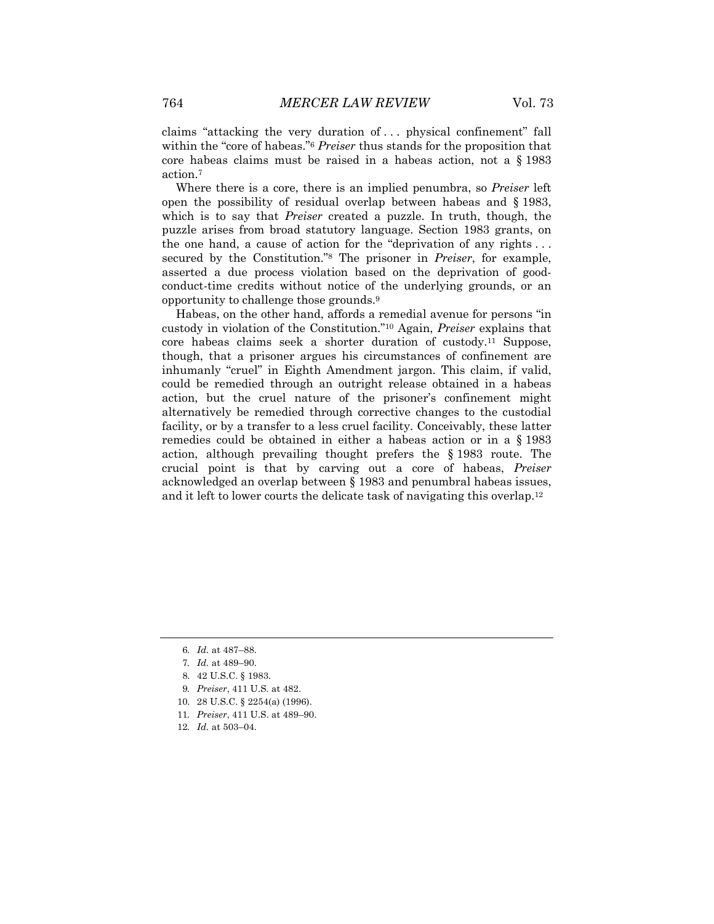claims "attacking the very duration of . . . physical confinement" fall within the "core of habeas."6 *Preiser* thus stands for the proposition that core habeas claims must be raised in a habeas action, not a § 1983 action.7

Where there is a core, there is an implied penumbra, so *Preiser* left open the possibility of residual overlap between habeas and § 1983, which is to say that *Preiser* created a puzzle. In truth, though, the puzzle arises from broad statutory language. Section 1983 grants, on the one hand, a cause of action for the "deprivation of any rights . . . secured by the Constitution."8 The prisoner in *Preiser*, for example, asserted a due process violation based on the deprivation of goodconduct-time credits without notice of the underlying grounds, or an opportunity to challenge those grounds.9

Habeas, on the other hand, affords a remedial avenue for persons "in custody in violation of the Constitution."10 Again, *Preiser* explains that core habeas claims seek a shorter duration of custody.11 Suppose, though, that a prisoner argues his circumstances of confinement are inhumanly "cruel" in Eighth Amendment jargon. This claim, if valid, could be remedied through an outright release obtained in a habeas action, but the cruel nature of the prisoner's confinement might alternatively be remedied through corrective changes to the custodial facility, or by a transfer to a less cruel facility. Conceivably, these latter remedies could be obtained in either a habeas action or in a § 1983 action, although prevailing thought prefers the § 1983 route. The crucial point is that by carving out a core of habeas, *Preiser* acknowledged an overlap between § 1983 and penumbral habeas issues, and it left to lower courts the delicate task of navigating this overlap.12

- 10. 28 U.S.C. § 2254(a) (1996).
- 11*. Preiser*, 411 U.S. at 489–90.
- 12*. Id.* at 503–04.

<sup>6.</sup> *Id.* at 487–88.

<sup>7</sup>*. Id.* at 489–90.

<sup>8.</sup> 42 U.S.C. § 1983.

<sup>9</sup>*. Preiser*, 411 U.S*.* at 482.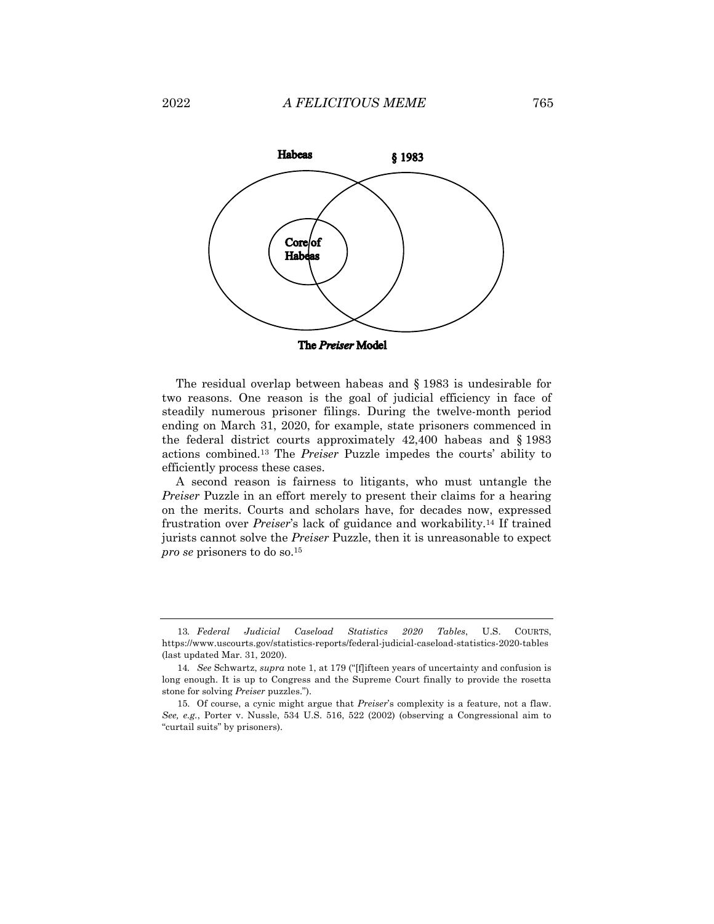

The residual overlap between habeas and § 1983 is undesirable for two reasons. One reason is the goal of judicial efficiency in face of steadily numerous prisoner filings. During the twelve-month period ending on March 31, 2020, for example, state prisoners commenced in the federal district courts approximately 42,400 habeas and § 1983 actions combined.13 The *Preiser* Puzzle impedes the courts' ability to efficiently process these cases.

A second reason is fairness to litigants, who must untangle the *Preiser* Puzzle in an effort merely to present their claims for a hearing on the merits. Courts and scholars have, for decades now, expressed frustration over *Preiser*'s lack of guidance and workability.14 If trained jurists cannot solve the *Preiser* Puzzle, then it is unreasonable to expect *pro se* prisoners to do so.15

<sup>13</sup>*. Federal Judicial Caseload Statistics 2020 Tables*, U.S. COURTS, https://www.uscourts.gov/statistics-reports/federal-judicial-caseload-statistics-2020-tables (last updated Mar. 31, 2020).

<sup>14</sup>*. See* Schwartz, *supra* note 1, at 179 ("[f]ifteen years of uncertainty and confusion is long enough. It is up to Congress and the Supreme Court finally to provide the rosetta stone for solving *Preiser* puzzles.").

<sup>15.</sup> Of course, a cynic might argue that *Preiser*'s complexity is a feature, not a flaw. *See, e.g.*, Porter v. Nussle, 534 U.S. 516, 522 (2002) (observing a Congressional aim to "curtail suits" by prisoners).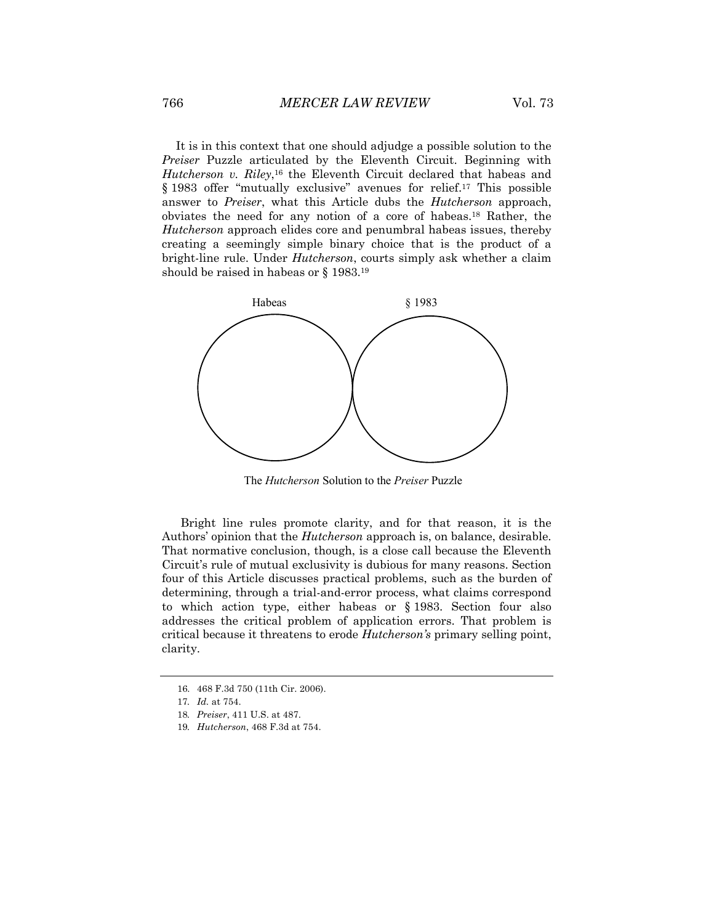It is in this context that one should adjudge a possible solution to the *Preiser* Puzzle articulated by the Eleventh Circuit. Beginning with *Hutcherson v. Riley*,<sup>16</sup> the Eleventh Circuit declared that habeas and § 1983 offer "mutually exclusive" avenues for relief.<sup>17</sup> This possible answer to *Preiser*, what this Article dubs the *Hutcherson* approach, obviates the need for any notion of a core of habeas.18 Rather, the *Hutcherson* approach elides core and penumbral habeas issues, thereby creating a seemingly simple binary choice that is the product of a bright-line rule. Under *Hutcherson*, courts simply ask whether a claim should be raised in habeas or § 1983.19



The *Hutcherson* Solution to the *Preiser* Puzzle

Bright line rules promote clarity, and for that reason, it is the Authors' opinion that the *Hutcherson* approach is, on balance, desirable. That normative conclusion, though, is a close call because the Eleventh Circuit's rule of mutual exclusivity is dubious for many reasons. Section four of this Article discusses practical problems, such as the burden of determining, through a trial-and-error process, what claims correspond to which action type, either habeas or § 1983. Section four also addresses the critical problem of application errors. That problem is critical because it threatens to erode *Hutcherson's* primary selling point, clarity.

<sup>16.</sup> 468 F.3d 750 (11th Cir. 2006).

<sup>17</sup>*. Id.* at 754.

<sup>18</sup>*. Preiser*, 411 U.S. at 487.

<sup>19</sup>*. Hutcherson*, 468 F.3d at 754.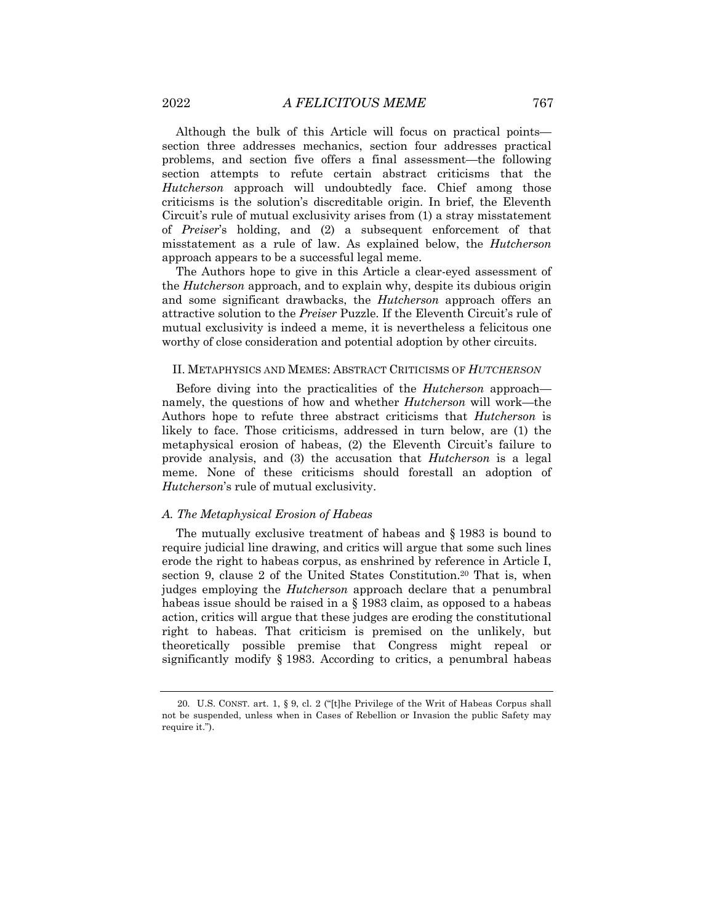Although the bulk of this Article will focus on practical points section three addresses mechanics, section four addresses practical problems, and section five offers a final assessment—the following section attempts to refute certain abstract criticisms that the *Hutcherson* approach will undoubtedly face. Chief among those criticisms is the solution's discreditable origin. In brief, the Eleventh Circuit's rule of mutual exclusivity arises from (1) a stray misstatement of *Preiser*'s holding, and (2) a subsequent enforcement of that misstatement as a rule of law. As explained below, the *Hutcherson*  approach appears to be a successful legal meme.

The Authors hope to give in this Article a clear-eyed assessment of the *Hutcherson* approach, and to explain why, despite its dubious origin and some significant drawbacks, the *Hutcherson* approach offers an attractive solution to the *Preiser* Puzzle. If the Eleventh Circuit's rule of mutual exclusivity is indeed a meme, it is nevertheless a felicitous one worthy of close consideration and potential adoption by other circuits.

#### II. METAPHYSICS AND MEMES: ABSTRACT CRITICISMS OF *HUTCHERSON*

Before diving into the practicalities of the *Hutcherson* approach namely, the questions of how and whether *Hutcherson* will work—the Authors hope to refute three abstract criticisms that *Hutcherson* is likely to face. Those criticisms, addressed in turn below, are (1) the metaphysical erosion of habeas, (2) the Eleventh Circuit's failure to provide analysis, and (3) the accusation that *Hutcherson* is a legal meme. None of these criticisms should forestall an adoption of *Hutcherson*'s rule of mutual exclusivity.

#### *A. The Metaphysical Erosion of Habeas*

The mutually exclusive treatment of habeas and § 1983 is bound to require judicial line drawing, and critics will argue that some such lines erode the right to habeas corpus, as enshrined by reference in Article I, section 9, clause 2 of the United States Constitution.20 That is, when judges employing the *Hutcherson* approach declare that a penumbral habeas issue should be raised in a § 1983 claim, as opposed to a habeas action, critics will argue that these judges are eroding the constitutional right to habeas. That criticism is premised on the unlikely, but theoretically possible premise that Congress might repeal or significantly modify § 1983. According to critics, a penumbral habeas

<sup>20.</sup> U.S. CONST. art. 1, § 9, cl. 2 ("[t]he Privilege of the Writ of Habeas Corpus shall not be suspended, unless when in Cases of Rebellion or Invasion the public Safety may require it.").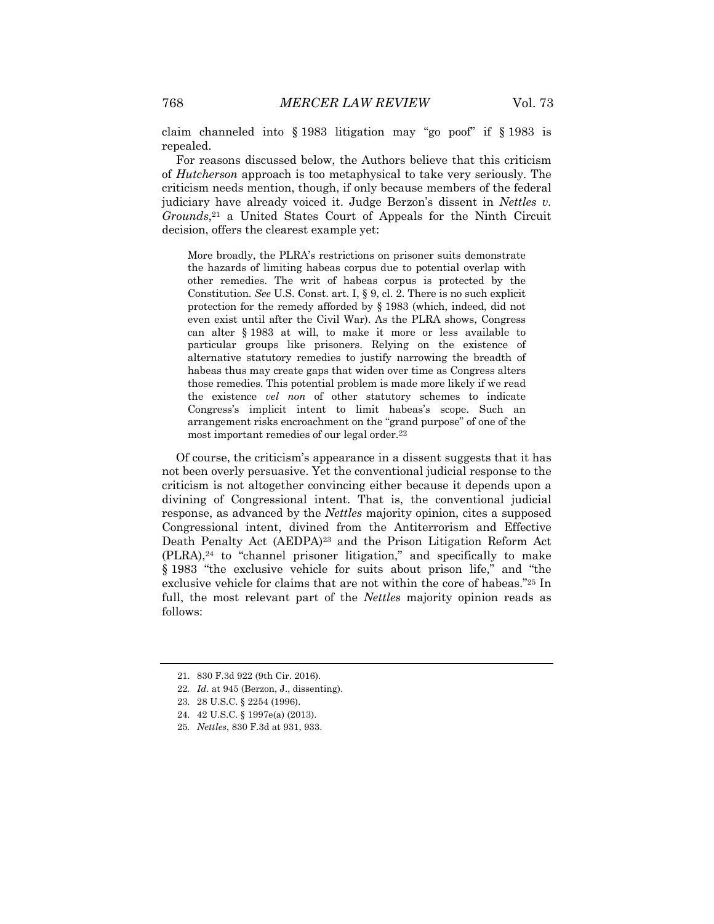claim channeled into § 1983 litigation may "go poof" if § 1983 is repealed.

For reasons discussed below, the Authors believe that this criticism of *Hutcherson* approach is too metaphysical to take very seriously. The criticism needs mention, though, if only because members of the federal judiciary have already voiced it. Judge Berzon's dissent in *Nettles v. Grounds*,21 a United States Court of Appeals for the Ninth Circuit decision, offers the clearest example yet:

More broadly, the PLRA's restrictions on prisoner suits demonstrate the hazards of limiting habeas corpus due to potential overlap with other remedies. The writ of habeas corpus is protected by the Constitution. *See* U.S. Const. art. I, § 9, cl. 2. There is no such explicit protection for the remedy afforded by § 1983 (which, indeed, did not even exist until after the Civil War). As the PLRA shows, Congress can alter § 1983 at will, to make it more or less available to particular groups like prisoners. Relying on the existence of alternative statutory remedies to justify narrowing the breadth of habeas thus may create gaps that widen over time as Congress alters those remedies. This potential problem is made more likely if we read the existence *vel non* of other statutory schemes to indicate Congress's implicit intent to limit habeas's scope. Such an arrangement risks encroachment on the "grand purpose" of one of the most important remedies of our legal order.22

Of course, the criticism's appearance in a dissent suggests that it has not been overly persuasive. Yet the conventional judicial response to the criticism is not altogether convincing either because it depends upon a divining of Congressional intent. That is, the conventional judicial response, as advanced by the *Nettles* majority opinion, cites a supposed Congressional intent, divined from the Antiterrorism and Effective Death Penalty Act (AEDPA)23 and the Prison Litigation Reform Act (PLRA),24 to "channel prisoner litigation," and specifically to make § 1983 "the exclusive vehicle for suits about prison life," and "the exclusive vehicle for claims that are not within the core of habeas."25 In full, the most relevant part of the *Nettles* majority opinion reads as follows:

<sup>21.</sup> 830 F.3d 922 (9th Cir. 2016).

<sup>22</sup>*. Id*. at 945 (Berzon, J., dissenting).

<sup>23.</sup> 28 U.S.C. § 2254 (1996).

<sup>24.</sup> 42 U.S.C. § 1997e(a) (2013).

<sup>25</sup>*. Nettles*, 830 F.3d at 931, 933.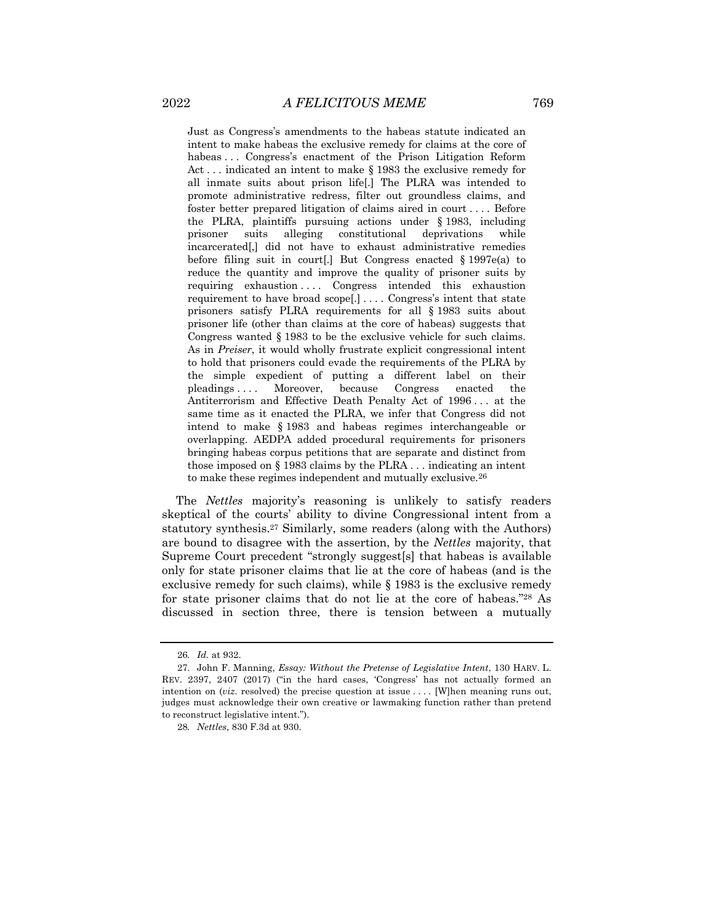Just as Congress's amendments to the habeas statute indicated an intent to make habeas the exclusive remedy for claims at the core of habeas ... Congress's enactment of the Prison Litigation Reform Act . . . indicated an intent to make § 1983 the exclusive remedy for all inmate suits about prison life[.] The PLRA was intended to promote administrative redress, filter out groundless claims, and foster better prepared litigation of claims aired in court . . . . Before the PLRA, plaintiffs pursuing actions under § 1983, including prisoner suits alleging constitutional deprivations while incarcerated[,] did not have to exhaust administrative remedies before filing suit in court[.] But Congress enacted § 1997e(a) to reduce the quantity and improve the quality of prisoner suits by requiring exhaustion .... Congress intended this exhaustion requirement to have broad scope[.] . . . . Congress's intent that state prisoners satisfy PLRA requirements for all § 1983 suits about prisoner life (other than claims at the core of habeas) suggests that Congress wanted § 1983 to be the exclusive vehicle for such claims. As in *Preiser*, it would wholly frustrate explicit congressional intent to hold that prisoners could evade the requirements of the PLRA by the simple expedient of putting a different label on their pleadings . . . . Moreover, because Congress enacted the Antiterrorism and Effective Death Penalty Act of 1996 . . . at the same time as it enacted the PLRA, we infer that Congress did not intend to make § 1983 and habeas regimes interchangeable or overlapping. AEDPA added procedural requirements for prisoners bringing habeas corpus petitions that are separate and distinct from those imposed on § 1983 claims by the PLRA . . . indicating an intent to make these regimes independent and mutually exclusive.26

The *Nettles* majority's reasoning is unlikely to satisfy readers skeptical of the courts' ability to divine Congressional intent from a statutory synthesis.27 Similarly, some readers (along with the Authors) are bound to disagree with the assertion, by the *Nettles* majority, that Supreme Court precedent "strongly suggest[s] that habeas is available only for state prisoner claims that lie at the core of habeas (and is the exclusive remedy for such claims), while § 1983 is the exclusive remedy for state prisoner claims that do not lie at the core of habeas."28 As discussed in section three, there is tension between a mutually

<sup>26</sup>*. Id.* at 932.

<sup>27.</sup> John F. Manning, *Essay: Without the Pretense of Legislative Intent*, 130 HARV. L. REV. 2397, 2407 (2017) ("in the hard cases, 'Congress' has not actually formed an intention on (*viz.* resolved) the precise question at issue . . . . [W]hen meaning runs out, judges must acknowledge their own creative or lawmaking function rather than pretend to reconstruct legislative intent.").

<sup>28</sup>*. Nettles*, 830 F.3d at 930.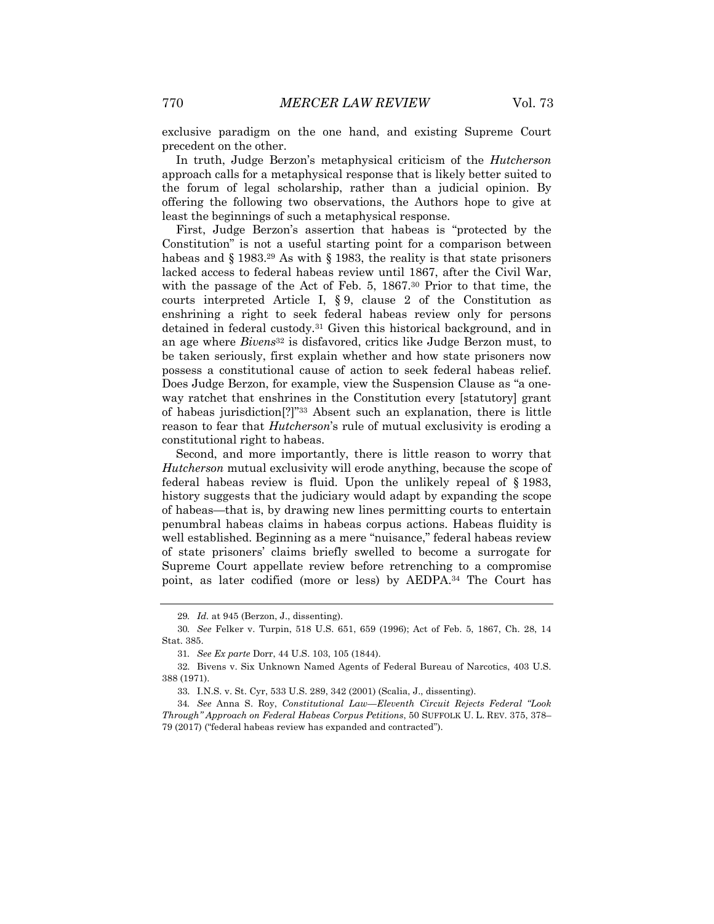exclusive paradigm on the one hand, and existing Supreme Court precedent on the other.

In truth, Judge Berzon's metaphysical criticism of the *Hutcherson* approach calls for a metaphysical response that is likely better suited to the forum of legal scholarship, rather than a judicial opinion. By offering the following two observations, the Authors hope to give at least the beginnings of such a metaphysical response.

First, Judge Berzon's assertion that habeas is "protected by the Constitution" is not a useful starting point for a comparison between habeas and § 1983.<sup>29</sup> As with § 1983, the reality is that state prisoners lacked access to federal habeas review until 1867, after the Civil War, with the passage of the Act of Feb. 5, 1867.<sup>30</sup> Prior to that time, the courts interpreted Article I, § 9, clause 2 of the Constitution as enshrining a right to seek federal habeas review only for persons detained in federal custody.31 Given this historical background, and in an age where *Bivens*<sup>32</sup> is disfavored, critics like Judge Berzon must, to be taken seriously, first explain whether and how state prisoners now possess a constitutional cause of action to seek federal habeas relief. Does Judge Berzon, for example, view the Suspension Clause as "a oneway ratchet that enshrines in the Constitution every [statutory] grant of habeas jurisdiction[?]"33 Absent such an explanation, there is little reason to fear that *Hutcherson*'s rule of mutual exclusivity is eroding a constitutional right to habeas.

Second, and more importantly, there is little reason to worry that *Hutcherson* mutual exclusivity will erode anything, because the scope of federal habeas review is fluid. Upon the unlikely repeal of § 1983, history suggests that the judiciary would adapt by expanding the scope of habeas—that is, by drawing new lines permitting courts to entertain penumbral habeas claims in habeas corpus actions. Habeas fluidity is well established. Beginning as a mere "nuisance," federal habeas review of state prisoners' claims briefly swelled to become a surrogate for Supreme Court appellate review before retrenching to a compromise point, as later codified (more or less) by AEDPA.34 The Court has

<sup>29</sup>*. Id.* at 945 (Berzon, J., dissenting).

<sup>30</sup>*. See* Felker v. Turpin, 518 U.S. 651, 659 (1996); Act of Feb. 5, 1867, Ch. 28, 14 Stat. 385.

<sup>31</sup>*. See Ex parte* Dorr, 44 U.S. 103, 105 (1844).

<sup>32.</sup> Bivens v. Six Unknown Named Agents of Federal Bureau of Narcotics, 403 U.S. 388 (1971).

<sup>33.</sup> I.N.S. v. St. Cyr, 533 U.S. 289, 342 (2001) (Scalia, J., dissenting).

<sup>34</sup>*. See* Anna S. Roy, *Constitutional Law—Eleventh Circuit Rejects Federal "Look Through" Approach on Federal Habeas Corpus Petitions*, 50 SUFFOLK U. L. REV. 375, 378– 79 (2017) ("federal habeas review has expanded and contracted").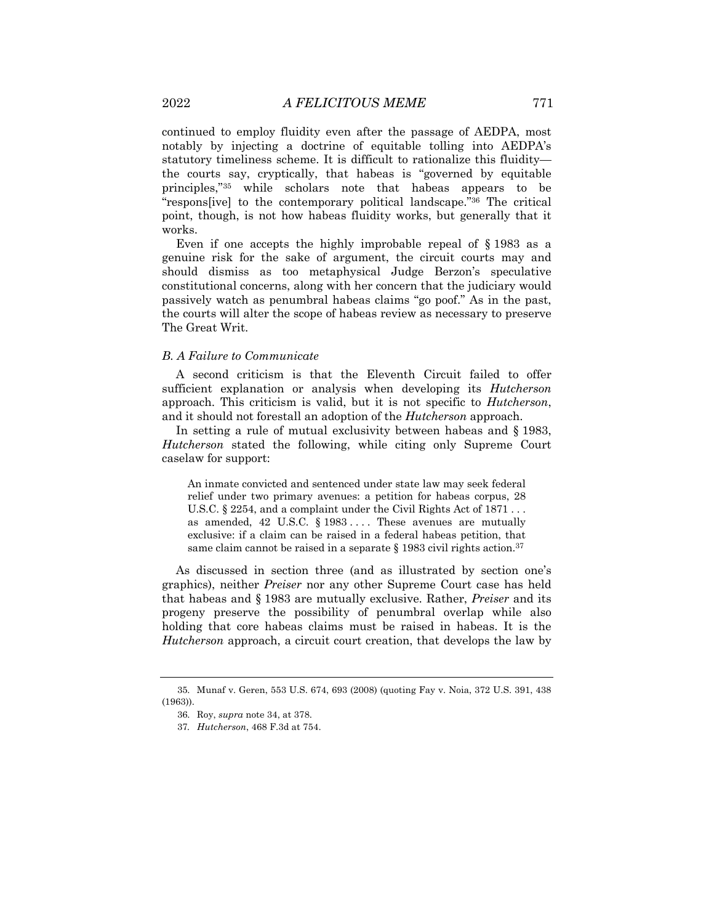continued to employ fluidity even after the passage of AEDPA, most notably by injecting a doctrine of equitable tolling into AEDPA's statutory timeliness scheme. It is difficult to rationalize this fluidity the courts say, cryptically, that habeas is "governed by equitable principles,"35 while scholars note that habeas appears to be "respons[ive] to the contemporary political landscape."36 The critical point, though, is not how habeas fluidity works, but generally that it works.

Even if one accepts the highly improbable repeal of § 1983 as a genuine risk for the sake of argument, the circuit courts may and should dismiss as too metaphysical Judge Berzon's speculative constitutional concerns, along with her concern that the judiciary would passively watch as penumbral habeas claims "go poof." As in the past, the courts will alter the scope of habeas review as necessary to preserve The Great Writ.

#### *B. A Failure to Communicate*

A second criticism is that the Eleventh Circuit failed to offer sufficient explanation or analysis when developing its *Hutcherson* approach. This criticism is valid, but it is not specific to *Hutcherson*, and it should not forestall an adoption of the *Hutcherson* approach.

In setting a rule of mutual exclusivity between habeas and § 1983, *Hutcherson* stated the following, while citing only Supreme Court caselaw for support:

An inmate convicted and sentenced under state law may seek federal relief under two primary avenues: a petition for habeas corpus, 28 U.S.C. § 2254, and a complaint under the Civil Rights Act of 1871... as amended, 42 U.S.C. § 1983 .... These avenues are mutually exclusive: if a claim can be raised in a federal habeas petition, that same claim cannot be raised in a separate  $\S 1983$  civil rights action.<sup>37</sup>

As discussed in section three (and as illustrated by section one's graphics), neither *Preiser* nor any other Supreme Court case has held that habeas and § 1983 are mutually exclusive. Rather, *Preiser* and its progeny preserve the possibility of penumbral overlap while also holding that core habeas claims must be raised in habeas. It is the *Hutcherson* approach, a circuit court creation, that develops the law by

<sup>35.</sup> Munaf v. Geren, 553 U.S. 674, 693 (2008) (quoting Fay v. Noia, 372 U.S. 391, 438 (1963)).

<sup>36.</sup> Roy, *supra* note 34, at 378.

<sup>37</sup>*. Hutcherson*, 468 F.3d at 754.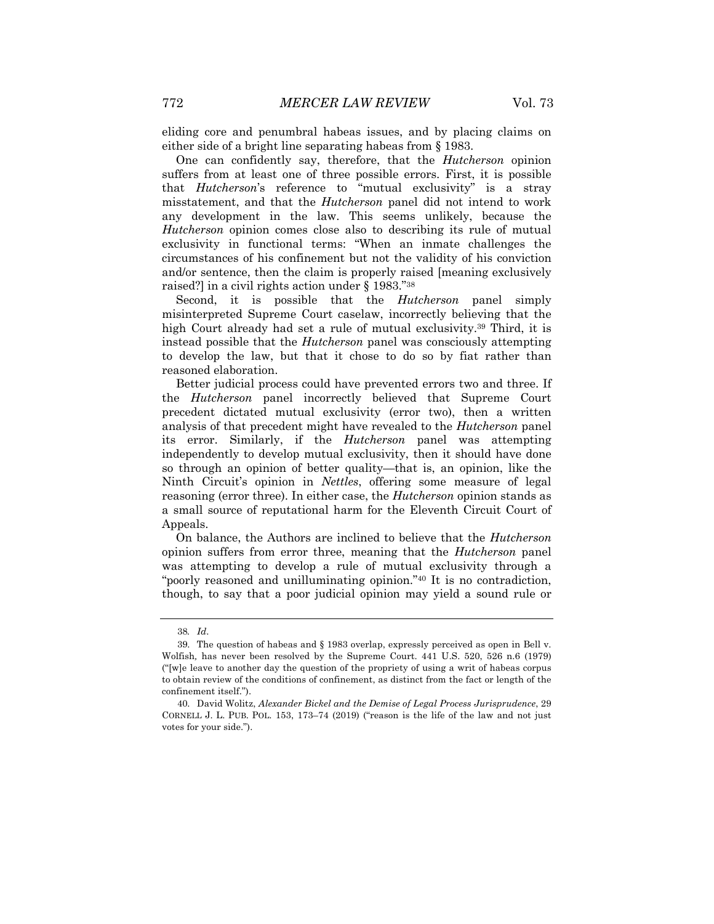eliding core and penumbral habeas issues, and by placing claims on either side of a bright line separating habeas from § 1983.

One can confidently say, therefore, that the *Hutcherson* opinion suffers from at least one of three possible errors. First, it is possible that *Hutcherson*'s reference to "mutual exclusivity" is a stray misstatement, and that the *Hutcherson* panel did not intend to work any development in the law. This seems unlikely, because the *Hutcherson* opinion comes close also to describing its rule of mutual exclusivity in functional terms: "When an inmate challenges the circumstances of his confinement but not the validity of his conviction and/or sentence, then the claim is properly raised [meaning exclusively raised?] in a civil rights action under § 1983."38

Second, it is possible that the *Hutcherson* panel simply misinterpreted Supreme Court caselaw, incorrectly believing that the high Court already had set a rule of mutual exclusivity.39 Third, it is instead possible that the *Hutcherson* panel was consciously attempting to develop the law, but that it chose to do so by fiat rather than reasoned elaboration.

Better judicial process could have prevented errors two and three. If the *Hutcherson* panel incorrectly believed that Supreme Court precedent dictated mutual exclusivity (error two), then a written analysis of that precedent might have revealed to the *Hutcherson* panel its error. Similarly, if the *Hutcherson* panel was attempting independently to develop mutual exclusivity, then it should have done so through an opinion of better quality—that is, an opinion, like the Ninth Circuit's opinion in *Nettles*, offering some measure of legal reasoning (error three). In either case, the *Hutcherson* opinion stands as a small source of reputational harm for the Eleventh Circuit Court of Appeals.

On balance, the Authors are inclined to believe that the *Hutcherson*  opinion suffers from error three, meaning that the *Hutcherson* panel was attempting to develop a rule of mutual exclusivity through a "poorly reasoned and unilluminating opinion."40 It is no contradiction, though, to say that a poor judicial opinion may yield a sound rule or

<sup>38</sup>*. Id*.

<sup>39.</sup> The question of habeas and § 1983 overlap, expressly perceived as open in Bell v. Wolfish*,* has never been resolved by the Supreme Court. 441 U.S. 520, 526 n.6 (1979) ("[w]e leave to another day the question of the propriety of using a writ of habeas corpus to obtain review of the conditions of confinement, as distinct from the fact or length of the confinement itself.").

<sup>40.</sup> David Wolitz, *Alexander Bickel and the Demise of Legal Process Jurisprudence*, 29 CORNELL J. L. PUB. POL. 153, 173–74 (2019) ("reason is the life of the law and not just votes for your side.").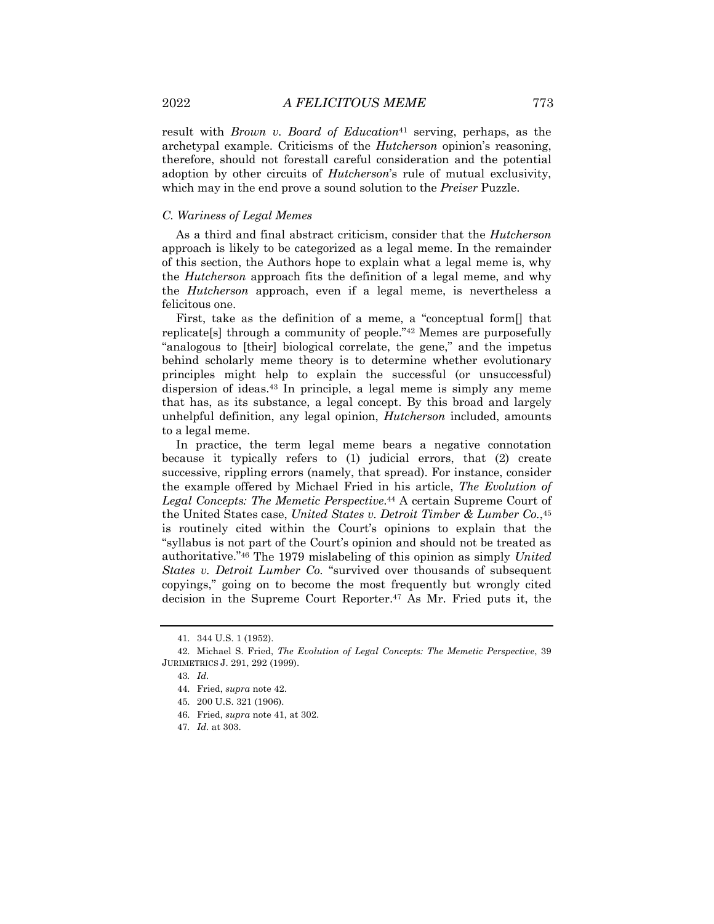result with *Brown v. Board of Education*<sup>41</sup> serving, perhaps, as the archetypal example. Criticisms of the *Hutcherson* opinion's reasoning, therefore, should not forestall careful consideration and the potential adoption by other circuits of *Hutcherson*'s rule of mutual exclusivity, which may in the end prove a sound solution to the *Preiser* Puzzle.

#### *C. Wariness of Legal Memes*

As a third and final abstract criticism, consider that the *Hutcherson* approach is likely to be categorized as a legal meme. In the remainder of this section, the Authors hope to explain what a legal meme is, why the *Hutcherson* approach fits the definition of a legal meme, and why the *Hutcherson* approach, even if a legal meme, is nevertheless a felicitous one.

First, take as the definition of a meme, a "conceptual form[] that replicate[s] through a community of people."42 Memes are purposefully "analogous to [their] biological correlate, the gene," and the impetus behind scholarly meme theory is to determine whether evolutionary principles might help to explain the successful (or unsuccessful) dispersion of ideas.43 In principle, a legal meme is simply any meme that has, as its substance, a legal concept. By this broad and largely unhelpful definition, any legal opinion, *Hutcherson* included, amounts to a legal meme.

In practice, the term legal meme bears a negative connotation because it typically refers to (1) judicial errors, that (2) create successive, rippling errors (namely, that spread). For instance, consider the example offered by Michael Fried in his article, *The Evolution of Legal Concepts: The Memetic Perspective*.44 A certain Supreme Court of the United States case, *United States v. Detroit Timber & Lumber Co.*,45 is routinely cited within the Court's opinions to explain that the "syllabus is not part of the Court's opinion and should not be treated as authoritative."46 The 1979 mislabeling of this opinion as simply *United States v. Detroit Lumber Co.* "survived over thousands of subsequent copyings," going on to become the most frequently but wrongly cited decision in the Supreme Court Reporter.47 As Mr. Fried puts it, the

<sup>41.</sup> 344 U.S. 1 (1952).

<sup>42.</sup> Michael S. Fried, *The Evolution of Legal Concepts: The Memetic Perspective*, 39 JURIMETRICS J. 291, 292 (1999).

<sup>43</sup>*. Id.*

<sup>44.</sup> Fried, *supra* note 42.

<sup>45.</sup> 200 U.S. 321 (1906).

<sup>46.</sup> Fried, *supra* note 41, at 302.

<sup>47</sup>*. Id.* at 303.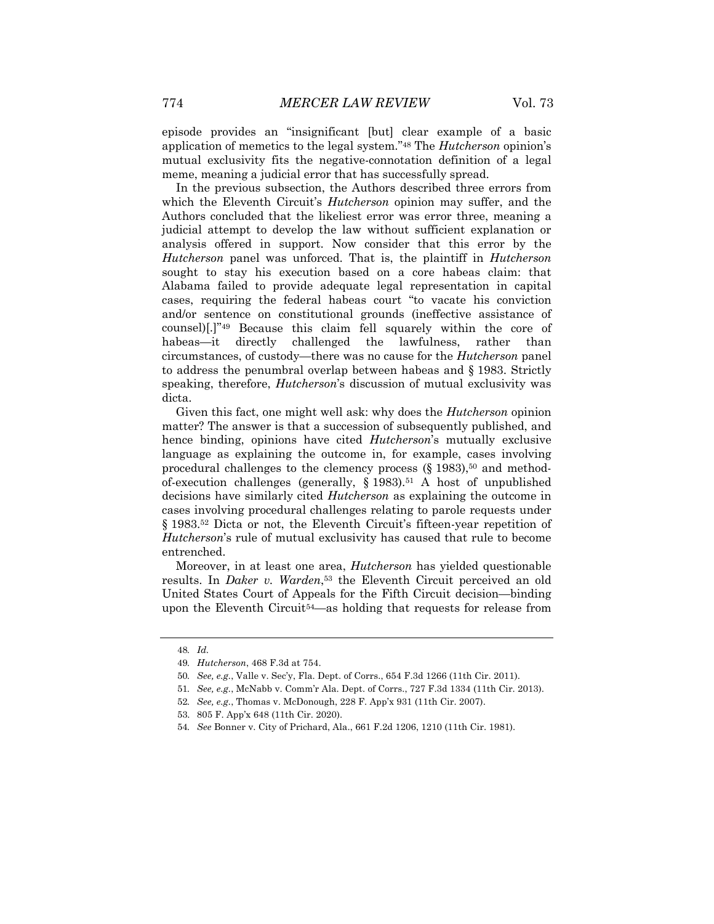episode provides an "insignificant [but] clear example of a basic application of memetics to the legal system."48 The *Hutcherson* opinion's mutual exclusivity fits the negative-connotation definition of a legal meme, meaning a judicial error that has successfully spread.

In the previous subsection, the Authors described three errors from which the Eleventh Circuit's *Hutcherson* opinion may suffer, and the Authors concluded that the likeliest error was error three, meaning a judicial attempt to develop the law without sufficient explanation or analysis offered in support. Now consider that this error by the *Hutcherson* panel was unforced. That is, the plaintiff in *Hutcherson* sought to stay his execution based on a core habeas claim: that Alabama failed to provide adequate legal representation in capital cases, requiring the federal habeas court "to vacate his conviction and/or sentence on constitutional grounds (ineffective assistance of counsel)[.]"49 Because this claim fell squarely within the core of habeas—it directly challenged the lawfulness, rather than circumstances, of custody—there was no cause for the *Hutcherson* panel to address the penumbral overlap between habeas and § 1983. Strictly speaking, therefore, *Hutcherson*'s discussion of mutual exclusivity was dicta.

Given this fact, one might well ask: why does the *Hutcherson* opinion matter? The answer is that a succession of subsequently published, and hence binding, opinions have cited *Hutcherson*'s mutually exclusive language as explaining the outcome in, for example, cases involving procedural challenges to the clemency process  $(\S 1983)$ ,<sup>50</sup> and methodof-execution challenges (generally,  $\S$  1983).<sup>51</sup> A host of unpublished decisions have similarly cited *Hutcherson* as explaining the outcome in cases involving procedural challenges relating to parole requests under § 1983.<sup>52</sup> Dicta or not, the Eleventh Circuit's fifteen-year repetition of *Hutcherson*'s rule of mutual exclusivity has caused that rule to become entrenched.

Moreover, in at least one area, *Hutcherson* has yielded questionable results. In *Daker v. Warden*<sup>53</sup> the Eleventh Circuit perceived an old United States Court of Appeals for the Fifth Circuit decision—binding upon the Eleventh Circuit54—as holding that requests for release from

<sup>48</sup>*. Id.*

<sup>49</sup>*. Hutcherson*, 468 F.3d at 754.

<sup>50</sup>*. See, e.g.*, Valle v. Sec'y, Fla. Dept. of Corrs., 654 F.3d 1266 (11th Cir. 2011).

<sup>51</sup>*. See, e.g.*, McNabb v. Comm'r Ala. Dept. of Corrs., 727 F.3d 1334 (11th Cir. 2013).

<sup>52</sup>*. See, e.g.*, Thomas v. McDonough, 228 F. App'x 931 (11th Cir. 2007).

<sup>53.</sup> 805 F. App'x 648 (11th Cir. 2020).

<sup>54</sup>*. See* Bonner v. City of Prichard, Ala., 661 F.2d 1206, 1210 (11th Cir. 1981).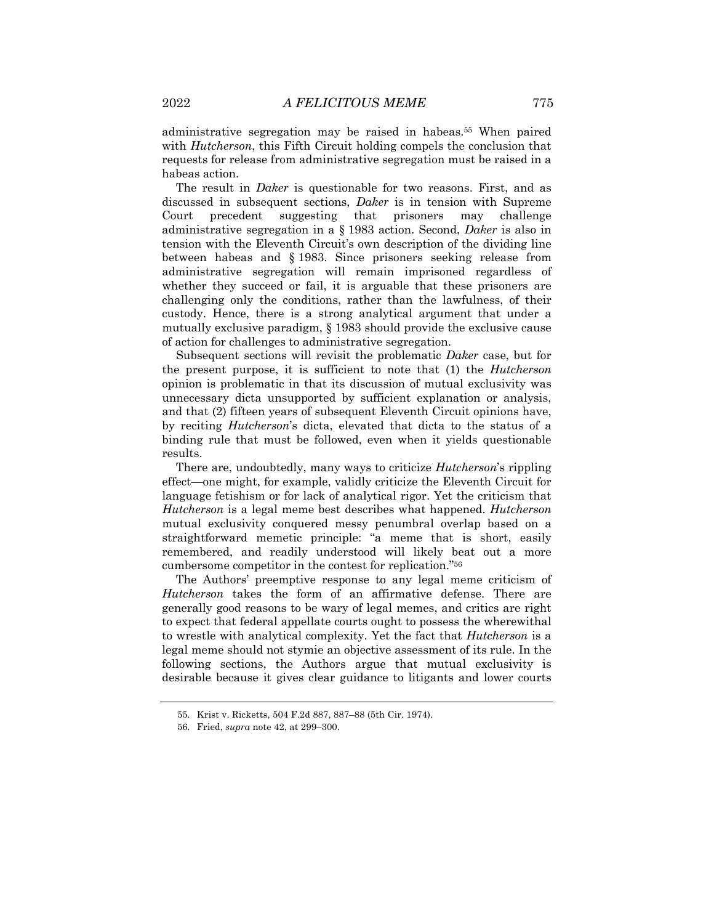administrative segregation may be raised in habeas.55 When paired with *Hutcherson*, this Fifth Circuit holding compels the conclusion that requests for release from administrative segregation must be raised in a habeas action.

The result in *Daker* is questionable for two reasons. First, and as discussed in subsequent sections, *Daker* is in tension with Supreme Court precedent suggesting that prisoners may challenge administrative segregation in a § 1983 action. Second, *Daker* is also in tension with the Eleventh Circuit's own description of the dividing line between habeas and § 1983. Since prisoners seeking release from administrative segregation will remain imprisoned regardless of whether they succeed or fail, it is arguable that these prisoners are challenging only the conditions, rather than the lawfulness, of their custody. Hence, there is a strong analytical argument that under a mutually exclusive paradigm, § 1983 should provide the exclusive cause of action for challenges to administrative segregation.

Subsequent sections will revisit the problematic *Daker* case, but for the present purpose, it is sufficient to note that (1) the *Hutcherson* opinion is problematic in that its discussion of mutual exclusivity was unnecessary dicta unsupported by sufficient explanation or analysis, and that (2) fifteen years of subsequent Eleventh Circuit opinions have, by reciting *Hutcherson*'s dicta, elevated that dicta to the status of a binding rule that must be followed, even when it yields questionable results.

There are, undoubtedly, many ways to criticize *Hutcherson*'s rippling effect—one might, for example, validly criticize the Eleventh Circuit for language fetishism or for lack of analytical rigor. Yet the criticism that *Hutcherson* is a legal meme best describes what happened. *Hutcherson* mutual exclusivity conquered messy penumbral overlap based on a straightforward memetic principle: "a meme that is short, easily remembered, and readily understood will likely beat out a more cumbersome competitor in the contest for replication."56

The Authors' preemptive response to any legal meme criticism of *Hutcherson* takes the form of an affirmative defense. There are generally good reasons to be wary of legal memes, and critics are right to expect that federal appellate courts ought to possess the wherewithal to wrestle with analytical complexity. Yet the fact that *Hutcherson* is a legal meme should not stymie an objective assessment of its rule. In the following sections, the Authors argue that mutual exclusivity is desirable because it gives clear guidance to litigants and lower courts

<sup>55.</sup> Krist v. Ricketts, 504 F.2d 887, 887–88 (5th Cir. 1974).

<sup>56.</sup> Fried, *supra* note 42, at 299–300.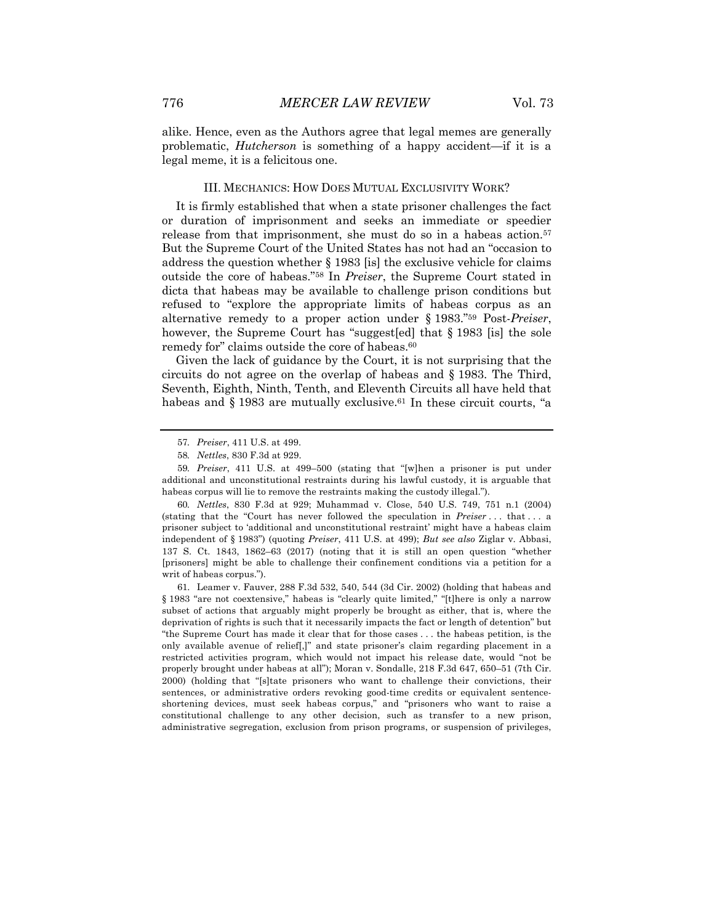alike. Hence, even as the Authors agree that legal memes are generally problematic, *Hutcherson* is something of a happy accident—if it is a legal meme, it is a felicitous one.

#### III. MECHANICS: HOW DOES MUTUAL EXCLUSIVITY WORK?

It is firmly established that when a state prisoner challenges the fact or duration of imprisonment and seeks an immediate or speedier release from that imprisonment, she must do so in a habeas action.<sup>57</sup> But the Supreme Court of the United States has not had an "occasion to address the question whether § 1983 [is] the exclusive vehicle for claims outside the core of habeas."58 In *Preiser*, the Supreme Court stated in dicta that habeas may be available to challenge prison conditions but refused to "explore the appropriate limits of habeas corpus as an alternative remedy to a proper action under § 1983."59 Post-*Preiser*, however, the Supreme Court has "suggest[ed] that § 1983 [is] the sole remedy for" claims outside the core of habeas.<sup>60</sup>

Given the lack of guidance by the Court, it is not surprising that the circuits do not agree on the overlap of habeas and § 1983. The Third, Seventh, Eighth, Ninth, Tenth, and Eleventh Circuits all have held that habeas and  $\S 1983$  are mutually exclusive.<sup>61</sup> In these circuit courts, "a

60*. Nettles*, 830 F.3d at 929; Muhammad v. Close, 540 U.S. 749, 751 n.1 (2004) (stating that the "Court has never followed the speculation in *Preiser* . . . that . . . a prisoner subject to 'additional and unconstitutional restraint' might have a habeas claim independent of § 1983") (quoting *Preiser*, 411 U.S. at 499); *But see also* Ziglar v. Abbasi, 137 S. Ct. 1843, 1862–63 (2017) (noting that it is still an open question "whether [prisoners] might be able to challenge their confinement conditions via a petition for a writ of habeas corpus.").

61. Leamer v. Fauver, 288 F.3d 532, 540, 544 (3d Cir. 2002) (holding that habeas and § 1983 "are not coextensive," habeas is "clearly quite limited," "[t]here is only a narrow subset of actions that arguably might properly be brought as either, that is, where the deprivation of rights is such that it necessarily impacts the fact or length of detention" but "the Supreme Court has made it clear that for those cases . . . the habeas petition, is the only available avenue of relief[,]" and state prisoner's claim regarding placement in a restricted activities program, which would not impact his release date, would "not be properly brought under habeas at all"); Moran v. Sondalle, 218 F.3d 647, 650–51 (7th Cir. 2000) (holding that "[s]tate prisoners who want to challenge their convictions, their sentences, or administrative orders revoking good-time credits or equivalent sentenceshortening devices, must seek habeas corpus," and "prisoners who want to raise a constitutional challenge to any other decision, such as transfer to a new prison, administrative segregation, exclusion from prison programs, or suspension of privileges,

<sup>57</sup>*. Preiser*, 411 U.S. at 499.

<sup>58</sup>*. Nettles*, 830 F.3d at 929.

<sup>59</sup>*. Preiser*, 411 U.S. at 499–500 (stating that "[w]hen a prisoner is put under additional and unconstitutional restraints during his lawful custody, it is arguable that habeas corpus will lie to remove the restraints making the custody illegal.").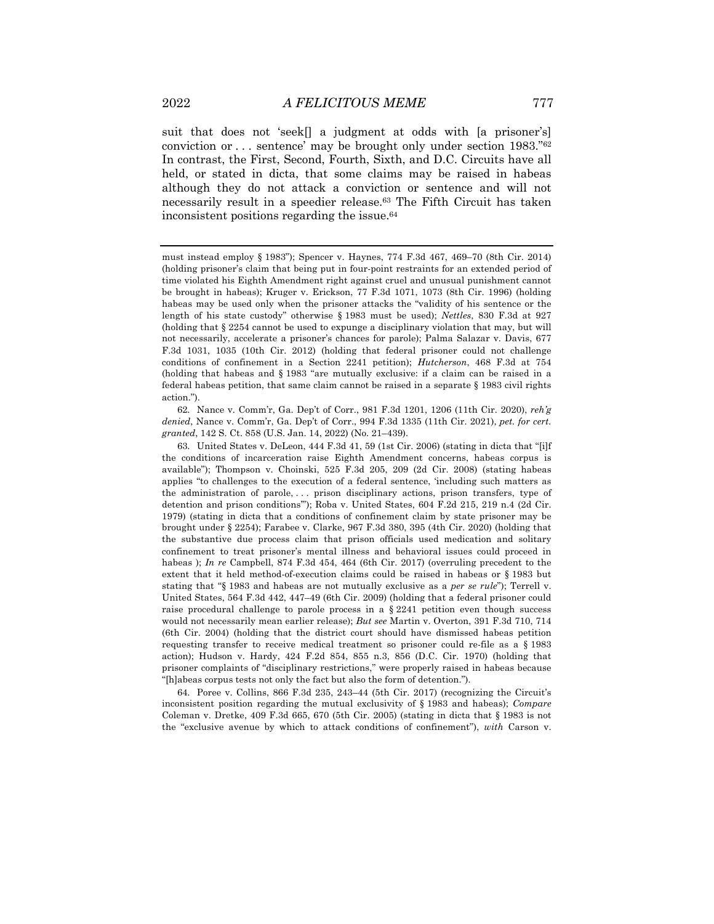suit that does not 'seek[] a judgment at odds with [a prisoner's] conviction or . . . sentence' may be brought only under section 1983."62 In contrast, the First, Second, Fourth, Sixth, and D.C. Circuits have all held, or stated in dicta, that some claims may be raised in habeas although they do not attack a conviction or sentence and will not necessarily result in a speedier release.63 The Fifth Circuit has taken inconsistent positions regarding the issue.64

62. Nance v. Comm'r, Ga. Dep't of Corr., 981 F.3d 1201, 1206 (11th Cir. 2020), *reh'g denied*, Nance v. Comm'r, Ga. Dep't of Corr., 994 F.3d 1335 (11th Cir. 2021), *pet. for cert. granted*, 142 S. Ct. 858 (U.S. Jan. 14, 2022) (No. 21–439).

63. United States v. DeLeon, 444 F.3d 41, 59 (1st Cir. 2006) (stating in dicta that "[i]f the conditions of incarceration raise Eighth Amendment concerns, habeas corpus is available"); Thompson v. Choinski, 525 F.3d 205, 209 (2d Cir. 2008) (stating habeas applies "to challenges to the execution of a federal sentence, 'including such matters as the administration of parole, . . . prison disciplinary actions, prison transfers, type of detention and prison conditions'"); Roba v. United States, 604 F.2d 215, 219 n.4 (2d Cir. 1979) (stating in dicta that a conditions of confinement claim by state prisoner may be brought under § 2254); Farabee v. Clarke, 967 F.3d 380, 395 (4th Cir. 2020) (holding that the substantive due process claim that prison officials used medication and solitary confinement to treat prisoner's mental illness and behavioral issues could proceed in habeas ); *In re* Campbell, 874 F.3d 454, 464 (6th Cir. 2017) (overruling precedent to the extent that it held method-of-execution claims could be raised in habeas or § 1983 but stating that "§ 1983 and habeas are not mutually exclusive as a *per se rule*"); Terrell v. United States, 564 F.3d 442, 447–49 (6th Cir. 2009) (holding that a federal prisoner could raise procedural challenge to parole process in a  $\S 2241$  petition even though success would not necessarily mean earlier release); *But see* Martin v. Overton, 391 F.3d 710, 714 (6th Cir. 2004) (holding that the district court should have dismissed habeas petition requesting transfer to receive medical treatment so prisoner could re-file as a § 1983 action); Hudson v. Hardy, 424 F.2d 854, 855 n.3, 856 (D.C. Cir. 1970) (holding that prisoner complaints of "disciplinary restrictions," were properly raised in habeas because "[h]abeas corpus tests not only the fact but also the form of detention.").

64. Poree v. Collins, 866 F.3d 235, 243–44 (5th Cir. 2017) (recognizing the Circuit's inconsistent position regarding the mutual exclusivity of § 1983 and habeas); *Compare*  Coleman v. Dretke,  $409$  F.3d 665, 670 (5th Cir. 2005) (stating in dicta that § 1983 is not the "exclusive avenue by which to attack conditions of confinement"), *with* Carson v.

must instead employ § 1983"); Spencer v. Haynes, 774 F.3d 467, 469–70 (8th Cir. 2014) (holding prisoner's claim that being put in four-point restraints for an extended period of time violated his Eighth Amendment right against cruel and unusual punishment cannot be brought in habeas); Kruger v. Erickson, 77 F.3d 1071, 1073 (8th Cir. 1996) (holding habeas may be used only when the prisoner attacks the "validity of his sentence or the length of his state custody" otherwise § 1983 must be used); *Nettles*, 830 F.3d at 927 (holding that § 2254 cannot be used to expunge a disciplinary violation that may, but will not necessarily, accelerate a prisoner's chances for parole); Palma Salazar v. Davis, 677 F.3d 1031, 1035 (10th Cir. 2012) (holding that federal prisoner could not challenge conditions of confinement in a Section 2241 petition); *Hutcherson*, 468 F.3d at 754 (holding that habeas and § 1983 "are mutually exclusive: if a claim can be raised in a federal habeas petition, that same claim cannot be raised in a separate § 1983 civil rights action.").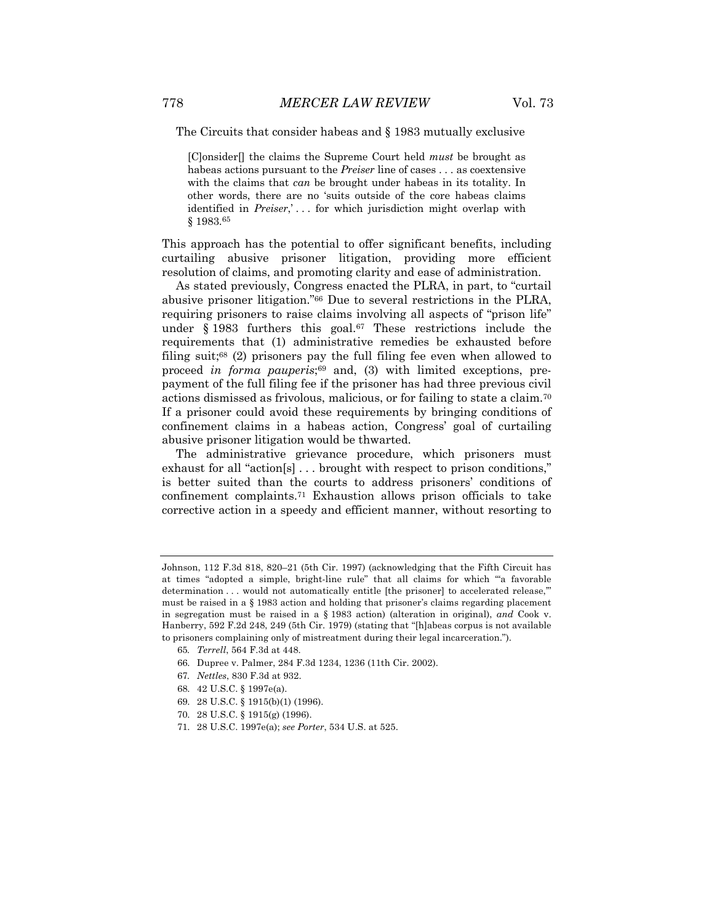The Circuits that consider habeas and § 1983 mutually exclusive

[C]onsider[] the claims the Supreme Court held *must* be brought as habeas actions pursuant to the *Preiser* line of cases . . . as coextensive with the claims that *can* be brought under habeas in its totality. In other words, there are no 'suits outside of the core habeas claims identified in *Preiser*,' . . . for which jurisdiction might overlap with § 1983.65

This approach has the potential to offer significant benefits, including curtailing abusive prisoner litigation, providing more efficient resolution of claims, and promoting clarity and ease of administration.

As stated previously, Congress enacted the PLRA, in part, to "curtail abusive prisoner litigation."66 Due to several restrictions in the PLRA, requiring prisoners to raise claims involving all aspects of "prison life" under  $\S$  1983 furthers this goal.<sup>67</sup> These restrictions include the requirements that (1) administrative remedies be exhausted before filing suit;<sup>68</sup> (2) prisoners pay the full filing fee even when allowed to proceed *in forma pauperis*;<sup>69</sup> and, (3) with limited exceptions, prepayment of the full filing fee if the prisoner has had three previous civil actions dismissed as frivolous, malicious, or for failing to state a claim.70 If a prisoner could avoid these requirements by bringing conditions of confinement claims in a habeas action, Congress' goal of curtailing abusive prisoner litigation would be thwarted.

The administrative grievance procedure, which prisoners must exhaust for all "action[s] . . . brought with respect to prison conditions," is better suited than the courts to address prisoners' conditions of confinement complaints.71 Exhaustion allows prison officials to take corrective action in a speedy and efficient manner, without resorting to

- 65*. Terrell*, 564 F.3d at 448.
- 66. Dupree v. Palmer, 284 F.3d 1234, 1236 (11th Cir. 2002).
- 67*. Nettles*, 830 F.3d at 932.
- 68. 42 U.S.C. § 1997e(a).
- 69. 28 U.S.C. § 1915(b)(1) (1996).
- 70. 28 U.S.C. § 1915(g) (1996).
- 71. 28 U.S.C. 1997e(a); *see Porter*, 534 U.S. at 525.

Johnson, 112 F.3d 818, 820–21 (5th Cir. 1997) (acknowledging that the Fifth Circuit has at times "adopted a simple, bright-line rule" that all claims for which "'a favorable determination . . . would not automatically entitle [the prisoner] to accelerated release,'" must be raised in a § 1983 action and holding that prisoner's claims regarding placement in segregation must be raised in a § 1983 action) (alteration in original), *and* Cook v. Hanberry, 592 F.2d 248, 249 (5th Cir. 1979) (stating that "[h]abeas corpus is not available to prisoners complaining only of mistreatment during their legal incarceration.").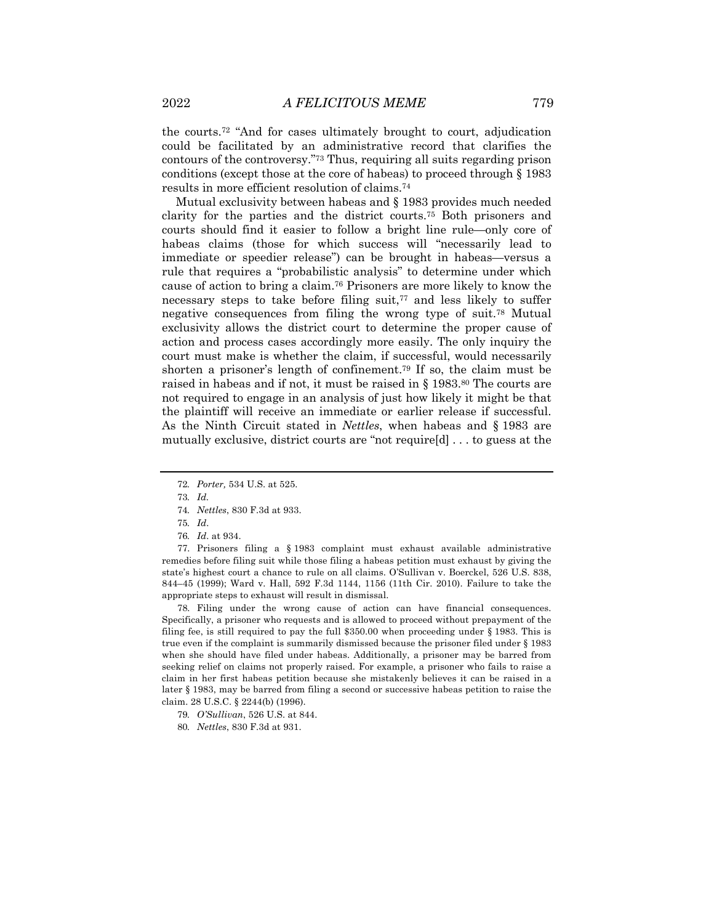the courts.72 "And for cases ultimately brought to court, adjudication could be facilitated by an administrative record that clarifies the contours of the controversy."73 Thus, requiring all suits regarding prison conditions (except those at the core of habeas) to proceed through § 1983 results in more efficient resolution of claims.74

Mutual exclusivity between habeas and § 1983 provides much needed clarity for the parties and the district courts.75 Both prisoners and courts should find it easier to follow a bright line rule—only core of habeas claims (those for which success will "necessarily lead to immediate or speedier release") can be brought in habeas—versus a rule that requires a "probabilistic analysis" to determine under which cause of action to bring a claim.76 Prisoners are more likely to know the necessary steps to take before filing suit,77 and less likely to suffer negative consequences from filing the wrong type of suit.78 Mutual exclusivity allows the district court to determine the proper cause of action and process cases accordingly more easily. The only inquiry the court must make is whether the claim, if successful, would necessarily shorten a prisoner's length of confinement.79 If so, the claim must be raised in habeas and if not, it must be raised in § 1983.80 The courts are not required to engage in an analysis of just how likely it might be that the plaintiff will receive an immediate or earlier release if successful. As the Ninth Circuit stated in *Nettles*, when habeas and § 1983 are mutually exclusive, district courts are "not require[d] . . . to guess at the

77. Prisoners filing a § 1983 complaint must exhaust available administrative remedies before filing suit while those filing a habeas petition must exhaust by giving the state's highest court a chance to rule on all claims. O'Sullivan v. Boerckel, 526 U.S. 838, 844–45 (1999); Ward v. Hall, 592 F.3d 1144, 1156 (11th Cir. 2010). Failure to take the appropriate steps to exhaust will result in dismissal.

78. Filing under the wrong cause of action can have financial consequences. Specifically, a prisoner who requests and is allowed to proceed without prepayment of the filing fee, is still required to pay the full \$350.00 when proceeding under § 1983. This is true even if the complaint is summarily dismissed because the prisoner filed under § 1983 when she should have filed under habeas. Additionally, a prisoner may be barred from seeking relief on claims not properly raised. For example, a prisoner who fails to raise a claim in her first habeas petition because she mistakenly believes it can be raised in a later § 1983, may be barred from filing a second or successive habeas petition to raise the claim. 28 U.S.C. § 2244(b) (1996).

79*. O'Sullivan*, 526 U.S. at 844.

<sup>72</sup>*. Porter,* 534 U.S. at 525.

<sup>73</sup>*. Id.*

<sup>74</sup>*. Nettles*, 830 F.3d at 933.

<sup>75</sup>*. Id*.

<sup>76</sup>*. Id*. at 934.

<sup>80</sup>*. Nettles*, 830 F.3d at 931.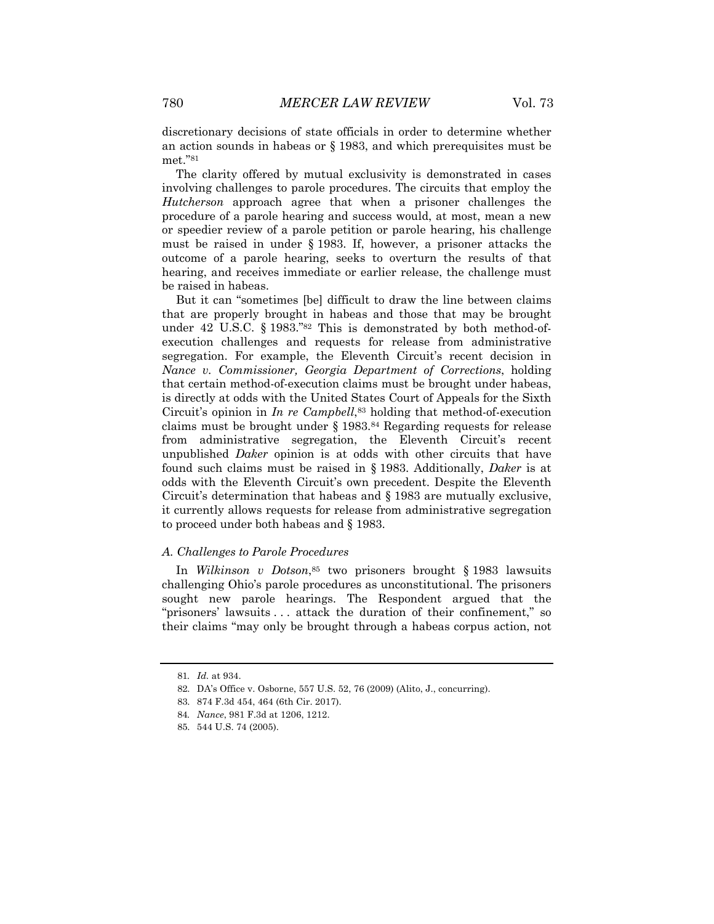discretionary decisions of state officials in order to determine whether an action sounds in habeas or § 1983, and which prerequisites must be met."81

The clarity offered by mutual exclusivity is demonstrated in cases involving challenges to parole procedures. The circuits that employ the *Hutcherson* approach agree that when a prisoner challenges the procedure of a parole hearing and success would, at most, mean a new or speedier review of a parole petition or parole hearing, his challenge must be raised in under § 1983. If, however, a prisoner attacks the outcome of a parole hearing, seeks to overturn the results of that hearing, and receives immediate or earlier release, the challenge must be raised in habeas.

But it can "sometimes [be] difficult to draw the line between claims that are properly brought in habeas and those that may be brought under 42 U.S.C. § 1983."82 This is demonstrated by both method-ofexecution challenges and requests for release from administrative segregation. For example, the Eleventh Circuit's recent decision in *Nance v. Commissioner, Georgia Department of Corrections*, holding that certain method-of-execution claims must be brought under habeas, is directly at odds with the United States Court of Appeals for the Sixth Circuit's opinion in *In re Campbell*,83 holding that method-of-execution claims must be brought under § 1983.84 Regarding requests for release from administrative segregation, the Eleventh Circuit's recent unpublished *Daker* opinion is at odds with other circuits that have found such claims must be raised in § 1983. Additionally, *Daker* is at odds with the Eleventh Circuit's own precedent. Despite the Eleventh Circuit's determination that habeas and § 1983 are mutually exclusive, it currently allows requests for release from administrative segregation to proceed under both habeas and § 1983.

#### *A. Challenges to Parole Procedures*

In *Wilkinson v Dotson*,<sup>85</sup> two prisoners brought § 1983 lawsuits challenging Ohio's parole procedures as unconstitutional. The prisoners sought new parole hearings. The Respondent argued that the "prisoners' lawsuits . . . attack the duration of their confinement," so their claims "may only be brought through a habeas corpus action, not

<sup>81</sup>*. Id.* at 934.

<sup>82.</sup> DA's Office v. Osborne, 557 U.S. 52, 76 (2009) (Alito, J., concurring).

<sup>83.</sup> 874 F.3d 454, 464 (6th Cir. 2017).

<sup>84</sup>*. Nance*, 981 F.3d at 1206, 1212.

<sup>85.</sup> 544 U.S. 74 (2005).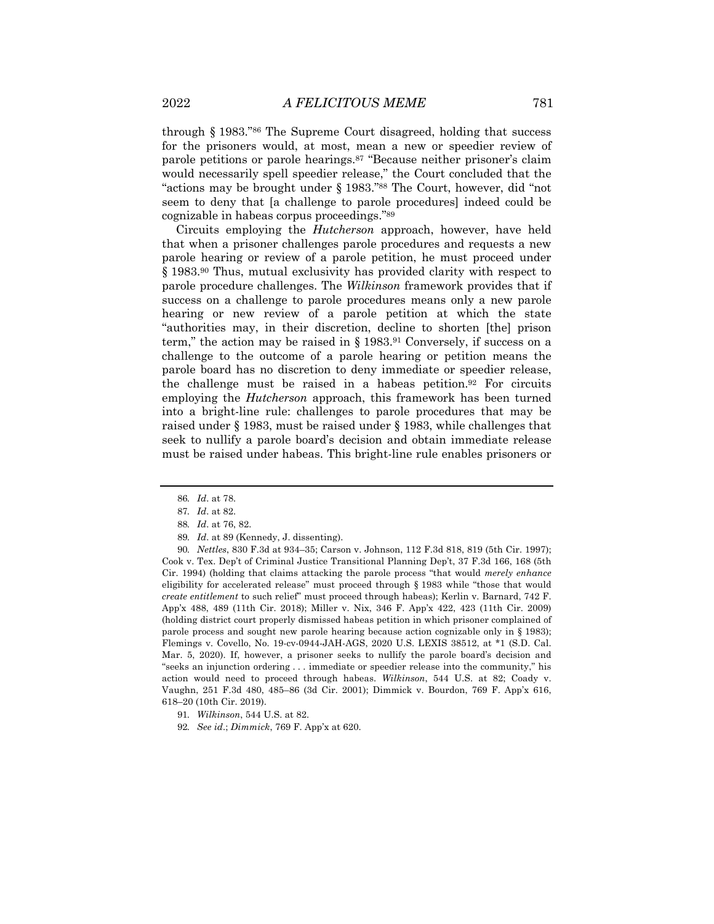through § 1983."86 The Supreme Court disagreed, holding that success for the prisoners would, at most, mean a new or speedier review of parole petitions or parole hearings.87 "Because neither prisoner's claim would necessarily spell speedier release," the Court concluded that the "actions may be brought under § 1983."88 The Court, however, did "not seem to deny that [a challenge to parole procedures] indeed could be cognizable in habeas corpus proceedings."89

Circuits employing the *Hutcherson* approach, however, have held that when a prisoner challenges parole procedures and requests a new parole hearing or review of a parole petition, he must proceed under § 1983.90 Thus, mutual exclusivity has provided clarity with respect to parole procedure challenges. The *Wilkinson* framework provides that if success on a challenge to parole procedures means only a new parole hearing or new review of a parole petition at which the state "authorities may, in their discretion, decline to shorten [the] prison term," the action may be raised in  $\S$  1983.<sup>91</sup> Conversely, if success on a challenge to the outcome of a parole hearing or petition means the parole board has no discretion to deny immediate or speedier release, the challenge must be raised in a habeas petition.92 For circuits employing the *Hutcherson* approach, this framework has been turned into a bright-line rule: challenges to parole procedures that may be raised under § 1983, must be raised under § 1983, while challenges that seek to nullify a parole board's decision and obtain immediate release must be raised under habeas. This bright-line rule enables prisoners or

90*. Nettles*, 830 F.3d at 934–35; Carson v. Johnson, 112 F.3d 818, 819 (5th Cir. 1997); Cook v. Tex. Dep't of Criminal Justice Transitional Planning Dep't, 37 F.3d 166, 168 (5th Cir. 1994) (holding that claims attacking the parole process "that would *merely enhance* eligibility for accelerated release" must proceed through § 1983 while "those that would *create entitlement* to such relief" must proceed through habeas); Kerlin v. Barnard, 742 F. App'x 488, 489 (11th Cir. 2018); Miller v. Nix, 346 F. App'x 422, 423 (11th Cir. 2009) (holding district court properly dismissed habeas petition in which prisoner complained of parole process and sought new parole hearing because action cognizable only in § 1983); Flemings v. Covello, No. 19-cv-0944-JAH-AGS, 2020 U.S. LEXIS 38512, at \*1 (S.D. Cal. Mar. 5, 2020). If, however, a prisoner seeks to nullify the parole board's decision and "seeks an injunction ordering . . . immediate or speedier release into the community," his action would need to proceed through habeas. *Wilkinson*, 544 U.S. at 82; Coady v. Vaughn, 251 F.3d 480, 485–86 (3d Cir. 2001); Dimmick v. Bourdon, 769 F. App'x 616, 618–20 (10th Cir. 2019).

<sup>86</sup>*. Id*. at 78.

<sup>87</sup>*. Id*. at 82.

<sup>88</sup>*. Id*. at 76, 82.

<sup>89</sup>*. Id*. at 89 (Kennedy, J. dissenting).

<sup>91</sup>*. Wilkinson*, 544 U.S. at 82.

<sup>92</sup>*. See id*.; *Dimmick*, 769 F. App'x at 620.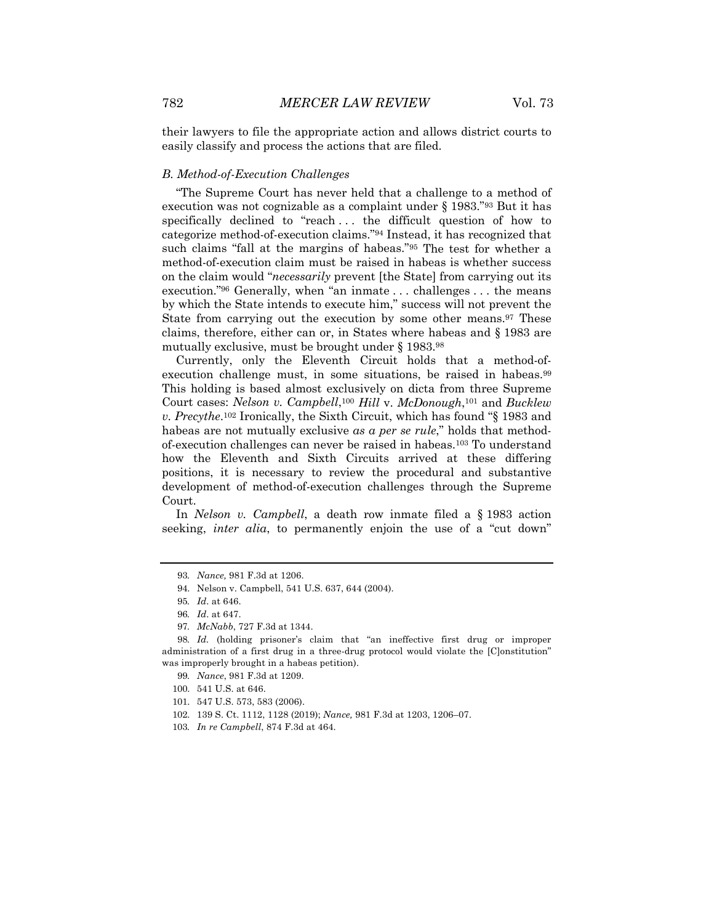their lawyers to file the appropriate action and allows district courts to easily classify and process the actions that are filed.

#### *B. Method-of-Execution Challenges*

"The Supreme Court has never held that a challenge to a method of execution was not cognizable as a complaint under § 1983."93 But it has specifically declined to "reach . . . the difficult question of how to categorize method-of-execution claims."94 Instead, it has recognized that such claims "fall at the margins of habeas."95 The test for whether a method-of-execution claim must be raised in habeas is whether success on the claim would "*necessarily* prevent [the State] from carrying out its execution."96 Generally, when "an inmate . . . challenges . . . the means by which the State intends to execute him," success will not prevent the State from carrying out the execution by some other means.97 These claims, therefore, either can or, in States where habeas and § 1983 are mutually exclusive, must be brought under § 1983.98

Currently, only the Eleventh Circuit holds that a method-ofexecution challenge must, in some situations, be raised in habeas.<sup>99</sup> This holding is based almost exclusively on dicta from three Supreme Court cases: *Nelson v. Campbell*,100 *Hill* v. *McDonough*,101 and *Bucklew v. Precythe*.102 Ironically, the Sixth Circuit, which has found "§ 1983 and habeas are not mutually exclusive *as a per se rule*," holds that methodof-execution challenges can never be raised in habeas.103 To understand how the Eleventh and Sixth Circuits arrived at these differing positions, it is necessary to review the procedural and substantive development of method-of-execution challenges through the Supreme Court.

In *Nelson v. Campbell*, a death row inmate filed a § 1983 action seeking, *inter alia*, to permanently enjoin the use of a "cut down"

- 102. 139 S. Ct. 1112, 1128 (2019); *Nance,* 981 F.3d at 1203, 1206–07.
- 103*. In re Campbell*, 874 F.3d at 464.

<sup>93</sup>*. Nance,* 981 F.3d at 1206.

<sup>94.</sup> Nelson v. Campbell, 541 U.S. 637, 644 (2004).

<sup>95</sup>*. Id*. at 646.

<sup>96</sup>*. Id*. at 647.

<sup>97</sup>*. McNabb*, 727 F.3d at 1344.

<sup>98</sup>*. Id.* (holding prisoner's claim that "an ineffective first drug or improper administration of a first drug in a three-drug protocol would violate the [C]onstitution" was improperly brought in a habeas petition).

<sup>99</sup>*. Nance*, 981 F.3d at 1209.

<sup>100.</sup> 541 U.S. at 646.

<sup>101.</sup> 547 U.S. 573, 583 (2006).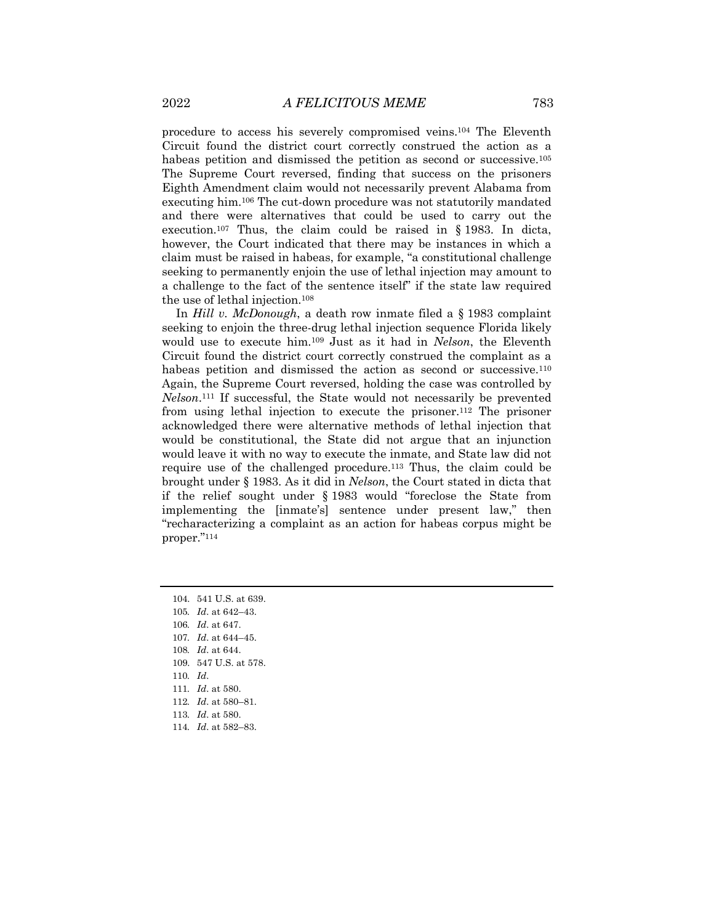procedure to access his severely compromised veins.104 The Eleventh Circuit found the district court correctly construed the action as a habeas petition and dismissed the petition as second or successive.105 The Supreme Court reversed, finding that success on the prisoners Eighth Amendment claim would not necessarily prevent Alabama from executing him.106 The cut-down procedure was not statutorily mandated and there were alternatives that could be used to carry out the execution.107 Thus, the claim could be raised in § 1983. In dicta, however, the Court indicated that there may be instances in which a claim must be raised in habeas, for example, "a constitutional challenge seeking to permanently enjoin the use of lethal injection may amount to a challenge to the fact of the sentence itself" if the state law required the use of lethal injection.108

In *Hill v. McDonough*, a death row inmate filed a § 1983 complaint seeking to enjoin the three-drug lethal injection sequence Florida likely would use to execute him.109 Just as it had in *Nelson*, the Eleventh Circuit found the district court correctly construed the complaint as a habeas petition and dismissed the action as second or successive.<sup>110</sup> Again, the Supreme Court reversed, holding the case was controlled by *Nelson*.111 If successful, the State would not necessarily be prevented from using lethal injection to execute the prisoner.112 The prisoner acknowledged there were alternative methods of lethal injection that would be constitutional, the State did not argue that an injunction would leave it with no way to execute the inmate, and State law did not require use of the challenged procedure.113 Thus, the claim could be brought under § 1983. As it did in *Nelson*, the Court stated in dicta that if the relief sought under § 1983 would "foreclose the State from implementing the [inmate's] sentence under present law," then "recharacterizing a complaint as an action for habeas corpus might be proper."114

- 104. 541 U.S. at 639.
- 105*. Id*. at 642–43.
- 106*. Id*. at 647.
- 107*. Id*. at 644–45.
- 108*. Id*. at 644.
- 109. 547 U.S. at 578.
- 110*. Id*.
- 111*. Id*. at 580.
- 112*. Id*. at 580–81.
- 113*. Id*. at 580.
- 114*. Id*. at 582–83.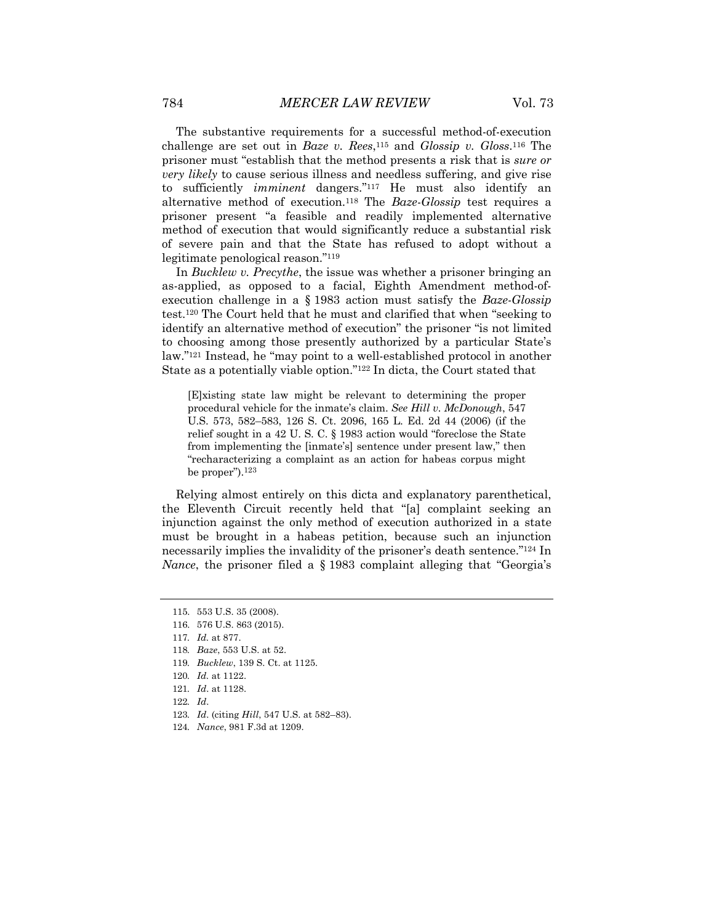The substantive requirements for a successful method-of-execution challenge are set out in *Baze v. Rees*,115 and *Glossip v. Gloss*.116 The prisoner must "establish that the method presents a risk that is *sure or very likely* to cause serious illness and needless suffering, and give rise to sufficiently *imminent* dangers."117 He must also identify an alternative method of execution.118 The *Baze-Glossip* test requires a prisoner present "a feasible and readily implemented alternative method of execution that would significantly reduce a substantial risk of severe pain and that the State has refused to adopt without a legitimate penological reason."119

In *Bucklew v. Precythe*, the issue was whether a prisoner bringing an as-applied, as opposed to a facial, Eighth Amendment method-ofexecution challenge in a § 1983 action must satisfy the *Baze-Glossip* test.120 The Court held that he must and clarified that when "seeking to identify an alternative method of execution" the prisoner "is not limited to choosing among those presently authorized by a particular State's law."121 Instead, he "may point to a well-established protocol in another State as a potentially viable option."122 In dicta, the Court stated that

[E]xisting state law might be relevant to determining the proper procedural vehicle for the inmate's claim. *See Hill v. McDonough*, 547 U.S. 573, 582–583, 126 S. Ct. 2096, 165 L. Ed. 2d 44 (2006) (if the relief sought in a 42 U. S. C. § 1983 action would "foreclose the State from implementing the [inmate's] sentence under present law," then "recharacterizing a complaint as an action for habeas corpus might be proper").123

Relying almost entirely on this dicta and explanatory parenthetical, the Eleventh Circuit recently held that "[a] complaint seeking an injunction against the only method of execution authorized in a state must be brought in a habeas petition, because such an injunction necessarily implies the invalidity of the prisoner's death sentence."124 In *Nance*, the prisoner filed a § 1983 complaint alleging that "Georgia's

119*. Bucklew*, 139 S. Ct. at 1125.

- 122*. Id*.
- 123*. Id*. (citing *Hill*, 547 U.S. at 582–83).
- 124*. Nance*, 981 F.3d at 1209.

<sup>115.</sup> 553 U.S. 35 (2008).

<sup>116.</sup> 576 U.S. 863 (2015).

<sup>117</sup>*. Id.* at 877.

<sup>118</sup>*. Baze*, 553 U.S. at 52.

<sup>120</sup>*. Id.* at 1122.

<sup>121</sup>*. Id*. at 1128.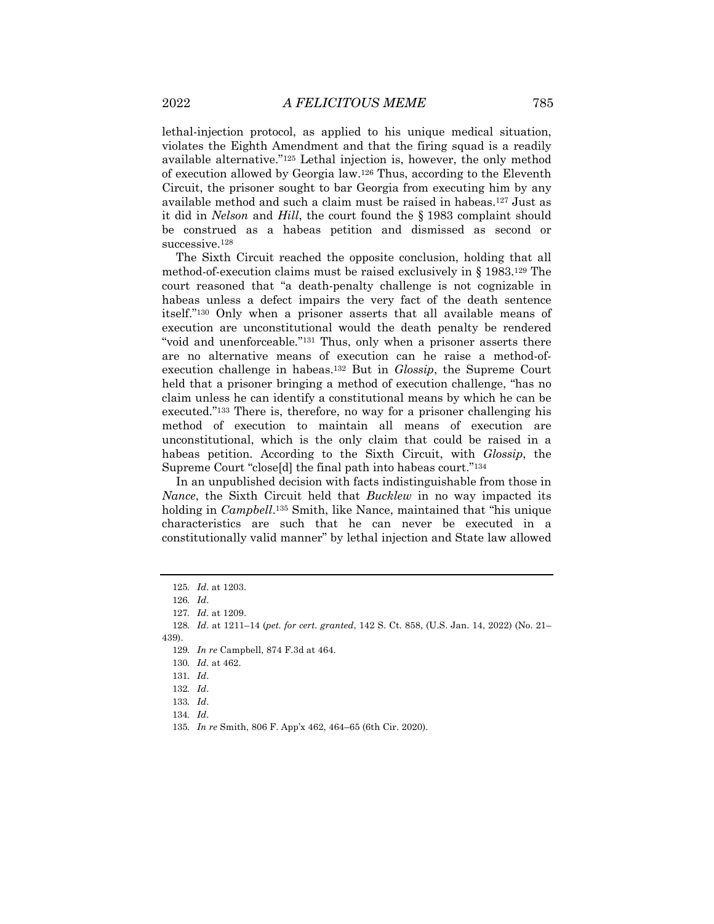lethal-injection protocol, as applied to his unique medical situation, violates the Eighth Amendment and that the firing squad is a readily available alternative."125 Lethal injection is, however, the only method of execution allowed by Georgia law.126 Thus, according to the Eleventh Circuit, the prisoner sought to bar Georgia from executing him by any available method and such a claim must be raised in habeas.127 Just as it did in *Nelson* and *Hill*, the court found the § 1983 complaint should be construed as a habeas petition and dismissed as second or successive.<sup>128</sup>

The Sixth Circuit reached the opposite conclusion, holding that all method-of-execution claims must be raised exclusively in § 1983.129 The court reasoned that "a death-penalty challenge is not cognizable in habeas unless a defect impairs the very fact of the death sentence itself."130 Only when a prisoner asserts that all available means of execution are unconstitutional would the death penalty be rendered "void and unenforceable*.*"131 Thus, only when a prisoner asserts there are no alternative means of execution can he raise a method-ofexecution challenge in habeas.132 But in *Glossip*, the Supreme Court held that a prisoner bringing a method of execution challenge, "has no claim unless he can identify a constitutional means by which he can be executed."133 There is, therefore, no way for a prisoner challenging his method of execution to maintain all means of execution are unconstitutional, which is the only claim that could be raised in a habeas petition. According to the Sixth Circuit, with *Glossip*, the Supreme Court "close[d] the final path into habeas court."134

In an unpublished decision with facts indistinguishable from those in *Nance*, the Sixth Circuit held that *Bucklew* in no way impacted its holding in *Campbell*.135 Smith, like Nance, maintained that "his unique characteristics are such that he can never be executed in a constitutionally valid manner" by lethal injection and State law allowed

131*. Id*.

134*. Id*.

<sup>125</sup>*. Id*. at 1203.

<sup>126</sup>*. Id*.

<sup>127</sup>*. Id*. at 1209.

<sup>128</sup>*. Id*. at 1211–14 (*pet. for cert. granted*, 142 S. Ct. 858, (U.S. Jan. 14, 2022) (No. 21– 439).

<sup>129</sup>*. In re* Campbell, 874 F.3d at 464.

<sup>130</sup>*. Id*. at 462.

<sup>132</sup>*. Id*.

<sup>133</sup>*. Id*.

<sup>135</sup>*. In re* Smith, 806 F. App'x 462, 464–65 (6th Cir. 2020).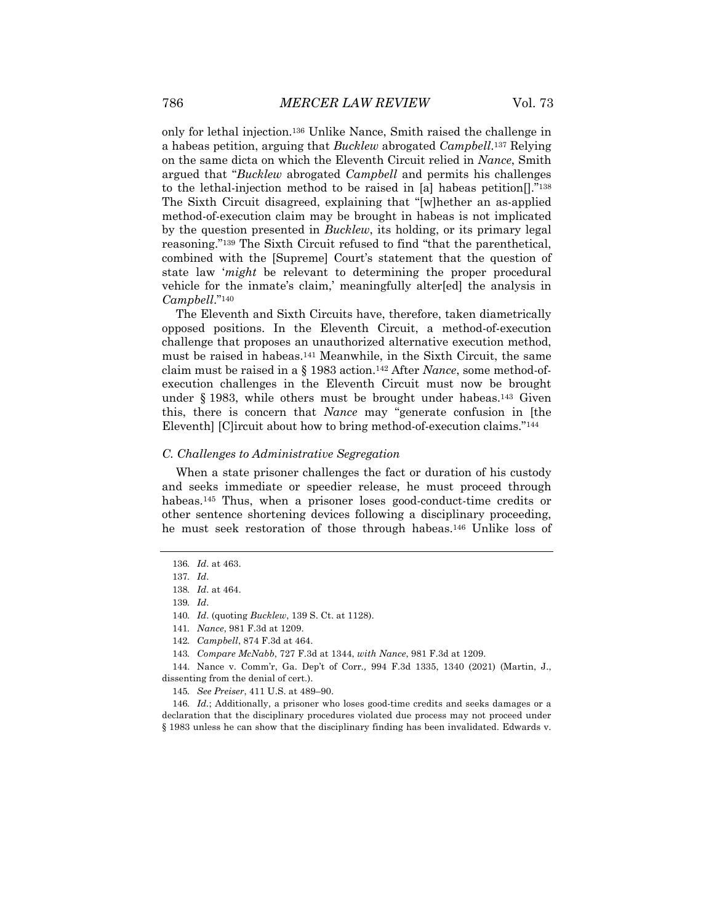only for lethal injection.136 Unlike Nance, Smith raised the challenge in a habeas petition, arguing that *Bucklew* abrogated *Campbell*.137 Relying on the same dicta on which the Eleventh Circuit relied in *Nance*, Smith argued that "*Bucklew* abrogated *Campbell* and permits his challenges to the lethal-injection method to be raised in [a] habeas petition[]."138 The Sixth Circuit disagreed, explaining that "[w]hether an as-applied method-of-execution claim may be brought in habeas is not implicated by the question presented in *Bucklew*, its holding, or its primary legal reasoning."139 The Sixth Circuit refused to find "that the parenthetical, combined with the [Supreme] Court's statement that the question of state law '*might* be relevant to determining the proper procedural vehicle for the inmate's claim,' meaningfully alter[ed] the analysis in *Campbell*."140

The Eleventh and Sixth Circuits have, therefore, taken diametrically opposed positions. In the Eleventh Circuit, a method-of-execution challenge that proposes an unauthorized alternative execution method, must be raised in habeas.141 Meanwhile, in the Sixth Circuit, the same claim must be raised in a § 1983 action.142 After *Nance*, some method-ofexecution challenges in the Eleventh Circuit must now be brought under § 1983, while others must be brought under habeas.<sup>143</sup> Given this, there is concern that *Nance* may "generate confusion in [the Eleventh] [C]ircuit about how to bring method-of-execution claims."144

#### *C. Challenges to Administrative Segregation*

When a state prisoner challenges the fact or duration of his custody and seeks immediate or speedier release, he must proceed through habeas.145 Thus, when a prisoner loses good-conduct-time credits or other sentence shortening devices following a disciplinary proceeding, he must seek restoration of those through habeas.146 Unlike loss of

146*. Id.*; Additionally, a prisoner who loses good-time credits and seeks damages or a declaration that the disciplinary procedures violated due process may not proceed under § 1983 unless he can show that the disciplinary finding has been invalidated. Edwards v.

<sup>136</sup>*. Id*. at 463.

<sup>137</sup>*. Id*.

<sup>138</sup>*. Id*. at 464.

<sup>139</sup>*. Id*.

<sup>140</sup>*. Id*. (quoting *Bucklew*, 139 S. Ct. at 1128).

<sup>141</sup>*. Nance*, 981 F.3d at 1209.

<sup>142</sup>*. Campbell*, 874 F.3d at 464.

<sup>143</sup>*. Compare McNabb*, 727 F.3d at 1344, *with Nance*, 981 F.3d at 1209.

<sup>144.</sup> Nance v. Comm'r, Ga. Dep't of Corr*.,* 994 F.3d 1335, 1340 (2021) (Martin, J., dissenting from the denial of cert.).

<sup>145</sup>*. See Preiser*, 411 U.S. at 489–90.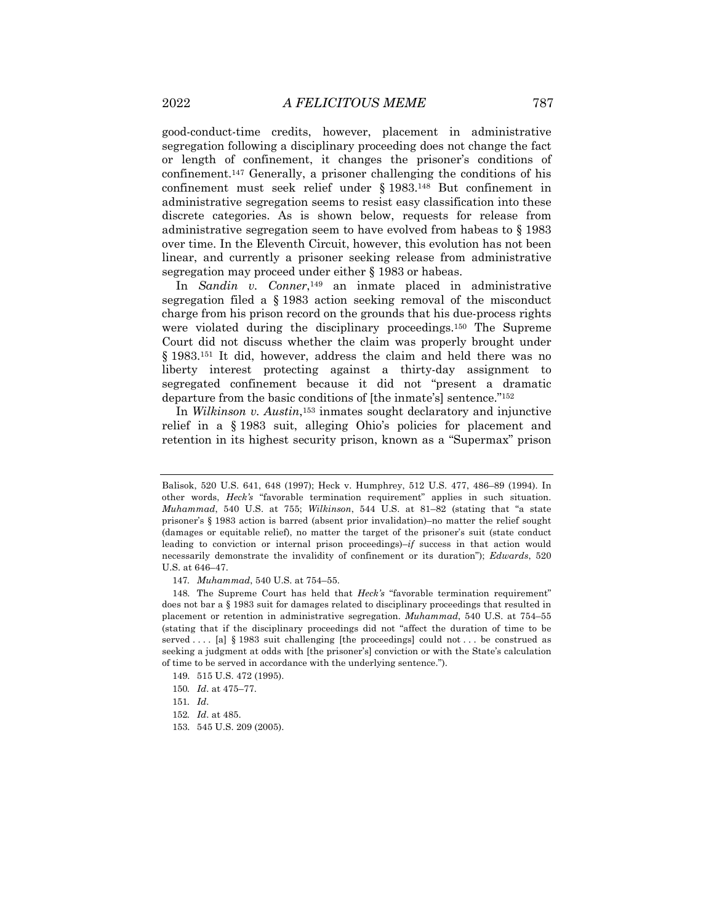good-conduct-time credits, however, placement in administrative segregation following a disciplinary proceeding does not change the fact or length of confinement, it changes the prisoner's conditions of confinement.147 Generally, a prisoner challenging the conditions of his confinement must seek relief under § 1983.148 But confinement in administrative segregation seems to resist easy classification into these discrete categories. As is shown below, requests for release from administrative segregation seem to have evolved from habeas to § 1983 over time. In the Eleventh Circuit, however, this evolution has not been linear, and currently a prisoner seeking release from administrative segregation may proceed under either § 1983 or habeas.

In *Sandin v. Conner*,149 an inmate placed in administrative segregation filed a § 1983 action seeking removal of the misconduct charge from his prison record on the grounds that his due-process rights were violated during the disciplinary proceedings.150 The Supreme Court did not discuss whether the claim was properly brought under § 1983.151 It did, however, address the claim and held there was no liberty interest protecting against a thirty-day assignment to segregated confinement because it did not "present a dramatic departure from the basic conditions of [the inmate's] sentence."152

In *Wilkinson v. Austin*,153 inmates sought declaratory and injunctive relief in a § 1983 suit, alleging Ohio's policies for placement and retention in its highest security prison, known as a "Supermax" prison

Balisok, 520 U.S. 641, 648 (1997); Heck v. Humphrey, 512 U.S. 477, 486–89 (1994). In other words, *Heck's* "favorable termination requirement" applies in such situation. *Muhammad*, 540 U.S. at 755; *Wilkinson*, 544 U.S. at 81–82 (stating that "a state prisoner's § 1983 action is barred (absent prior invalidation)–no matter the relief sought (damages or equitable relief), no matter the target of the prisoner's suit (state conduct leading to conviction or internal prison proceedings)–*if* success in that action would necessarily demonstrate the invalidity of confinement or its duration"); *Edwards*, 520 U.S. at 646–47.

<sup>147</sup>*. Muhammad*, 540 U.S. at 754–55.

<sup>148.</sup> The Supreme Court has held that *Heck's* "favorable termination requirement" does not bar a § 1983 suit for damages related to disciplinary proceedings that resulted in placement or retention in administrative segregation. *Muhammad*, 540 U.S. at 754–55 (stating that if the disciplinary proceedings did not "affect the duration of time to be served . . . . [a] § 1983 suit challenging [the proceedings] could not . . . be construed as seeking a judgment at odds with [the prisoner's] conviction or with the State's calculation of time to be served in accordance with the underlying sentence.").

<sup>149.</sup> 515 U.S. 472 (1995).

<sup>150</sup>*. Id*. at 475–77.

<sup>151</sup>*. Id*.

<sup>152</sup>*. Id*. at 485.

<sup>153.</sup> 545 U.S. 209 (2005).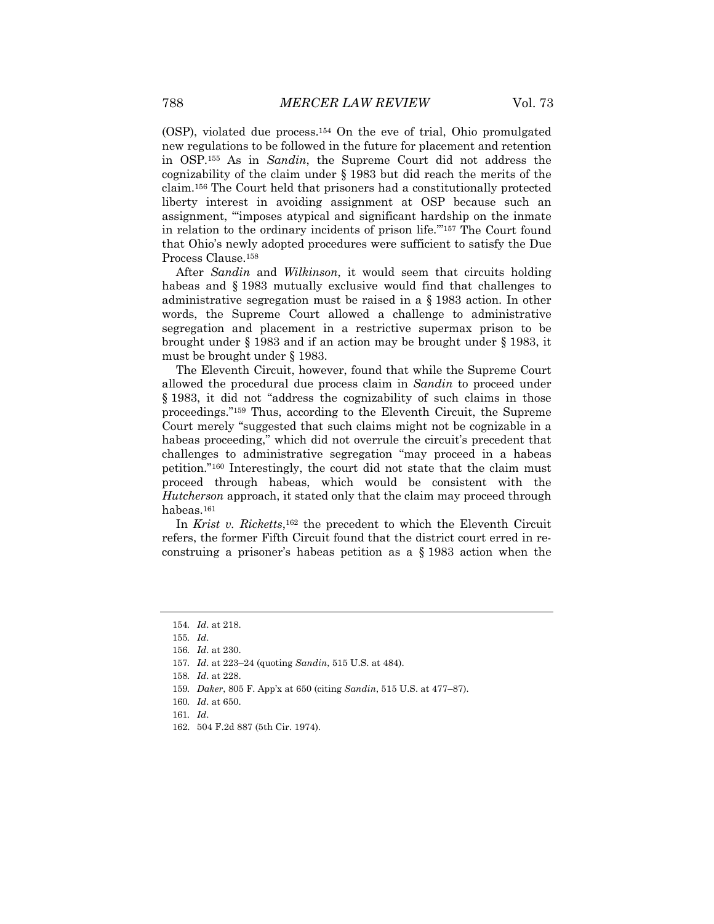(OSP), violated due process.154 On the eve of trial, Ohio promulgated new regulations to be followed in the future for placement and retention in OSP.155 As in *Sandin*, the Supreme Court did not address the cognizability of the claim under § 1983 but did reach the merits of the claim.156 The Court held that prisoners had a constitutionally protected liberty interest in avoiding assignment at OSP because such an assignment, "'imposes atypical and significant hardship on the inmate in relation to the ordinary incidents of prison life.'"157 The Court found that Ohio's newly adopted procedures were sufficient to satisfy the Due Process Clause.158

After *Sandin* and *Wilkinson*, it would seem that circuits holding habeas and § 1983 mutually exclusive would find that challenges to administrative segregation must be raised in a § 1983 action. In other words, the Supreme Court allowed a challenge to administrative segregation and placement in a restrictive supermax prison to be brought under § 1983 and if an action may be brought under § 1983, it must be brought under § 1983.

The Eleventh Circuit, however, found that while the Supreme Court allowed the procedural due process claim in *Sandin* to proceed under § 1983, it did not "address the cognizability of such claims in those proceedings."159 Thus, according to the Eleventh Circuit, the Supreme Court merely "suggested that such claims might not be cognizable in a habeas proceeding," which did not overrule the circuit's precedent that challenges to administrative segregation "may proceed in a habeas petition."160 Interestingly, the court did not state that the claim must proceed through habeas, which would be consistent with the *Hutcherson* approach, it stated only that the claim may proceed through habeas.161

In *Krist v. Ricketts*,162 the precedent to which the Eleventh Circuit refers, the former Fifth Circuit found that the district court erred in reconstruing a prisoner's habeas petition as a § 1983 action when the

<sup>154</sup>*. Id*. at 218.

<sup>155</sup>*. Id*.

<sup>156</sup>*. Id*. at 230.

<sup>157</sup>*. Id*. at 223–24 (quoting *Sandin*, 515 U.S. at 484).

<sup>158</sup>*. Id*. at 228.

<sup>159</sup>*. Daker*, 805 F. App'x at 650 (citing *Sandin*, 515 U.S. at 477–87).

<sup>160</sup>*. Id*. at 650.

<sup>161</sup>*. Id*.

<sup>162.</sup> 504 F.2d 887 (5th Cir. 1974).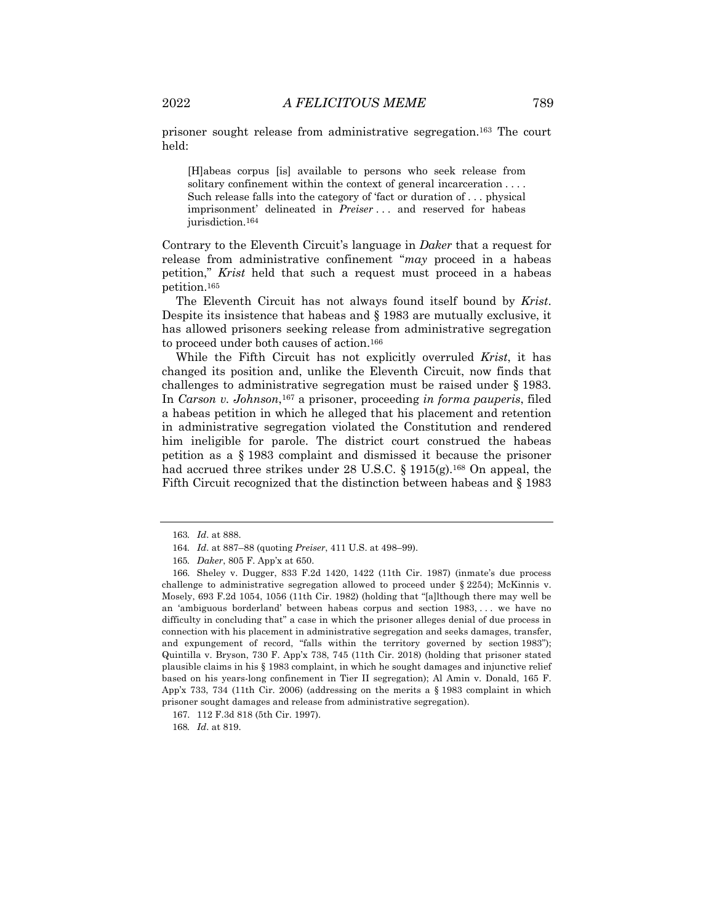prisoner sought release from administrative segregation.163 The court held:

[H]abeas corpus [is] available to persons who seek release from solitary confinement within the context of general incarceration . . . . Such release falls into the category of 'fact or duration of . . . physical imprisonment' delineated in *Preiser* . . . and reserved for habeas jurisdiction.<sup>164</sup>

Contrary to the Eleventh Circuit's language in *Daker* that a request for release from administrative confinement "*may* proceed in a habeas petition," *Krist* held that such a request must proceed in a habeas petition.165

The Eleventh Circuit has not always found itself bound by *Krist*. Despite its insistence that habeas and § 1983 are mutually exclusive, it has allowed prisoners seeking release from administrative segregation to proceed under both causes of action.166

While the Fifth Circuit has not explicitly overruled *Krist*, it has changed its position and, unlike the Eleventh Circuit, now finds that challenges to administrative segregation must be raised under § 1983. In *Carson v. Johnson*,167 a prisoner, proceeding *in forma pauperis*, filed a habeas petition in which he alleged that his placement and retention in administrative segregation violated the Constitution and rendered him ineligible for parole. The district court construed the habeas petition as a § 1983 complaint and dismissed it because the prisoner had accrued three strikes under 28 U.S.C.  $\S 1915(g)$ .<sup>168</sup> On appeal, the Fifth Circuit recognized that the distinction between habeas and § 1983

<sup>163</sup>*. Id*. at 888.

<sup>164</sup>*. Id*. at 887–88 (quoting *Preiser*, 411 U.S. at 498–99).

<sup>165</sup>*. Daker*, 805 F. App'x at 650.

<sup>166.</sup> Sheley v. Dugger, 833 F.2d 1420, 1422 (11th Cir. 1987) (inmate's due process challenge to administrative segregation allowed to proceed under § 2254); McKinnis v. Mosely, 693 F.2d 1054, 1056 (11th Cir. 1982) (holding that "[a]lthough there may well be an 'ambiguous borderland' between habeas corpus and section 1983, . . . we have no difficulty in concluding that" a case in which the prisoner alleges denial of due process in connection with his placement in administrative segregation and seeks damages, transfer, and expungement of record, "falls within the territory governed by section 1983"); Quintilla v. Bryson, 730 F. App'x 738, 745 (11th Cir. 2018) (holding that prisoner stated plausible claims in his § 1983 complaint, in which he sought damages and injunctive relief based on his years-long confinement in Tier II segregation); Al Amin v. Donald, 165 F. App'x 733, 734 (11th Cir. 2006) (addressing on the merits a § 1983 complaint in which prisoner sought damages and release from administrative segregation).

<sup>167.</sup> 112 F.3d 818 (5th Cir. 1997).

<sup>168</sup>*. Id*. at 819.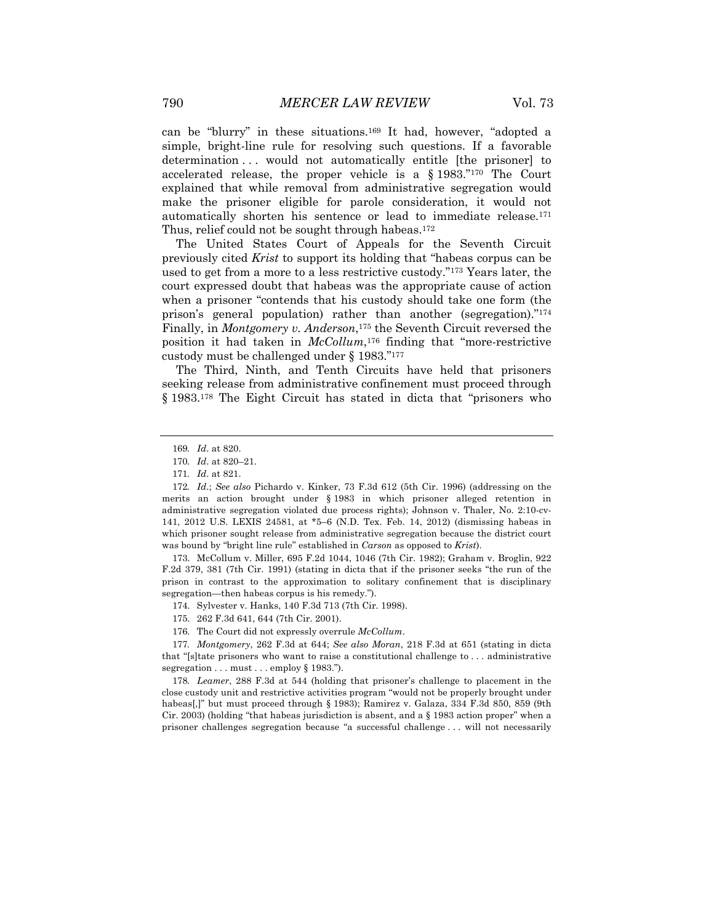can be "blurry" in these situations.169 It had, however, "adopted a simple, bright-line rule for resolving such questions. If a favorable determination ... would not automatically entitle [the prisoner] to accelerated release, the proper vehicle is a § 1983."170 The Court explained that while removal from administrative segregation would make the prisoner eligible for parole consideration, it would not automatically shorten his sentence or lead to immediate release.171 Thus, relief could not be sought through habeas.172

The United States Court of Appeals for the Seventh Circuit previously cited *Krist* to support its holding that "habeas corpus can be used to get from a more to a less restrictive custody."173 Years later, the court expressed doubt that habeas was the appropriate cause of action when a prisoner "contends that his custody should take one form (the prison's general population) rather than another (segregation)."174 Finally, in *Montgomery v. Anderson*,<sup>175</sup> the Seventh Circuit reversed the position it had taken in *McCollum*,176 finding that "more-restrictive custody must be challenged under § 1983."177

The Third, Ninth, and Tenth Circuits have held that prisoners seeking release from administrative confinement must proceed through § 1983.178 The Eight Circuit has stated in dicta that "prisoners who

173. McCollum v. Miller, 695 F.2d 1044, 1046 (7th Cir. 1982); Graham v. Broglin, 922 F.2d 379, 381 (7th Cir. 1991) (stating in dicta that if the prisoner seeks "the run of the prison in contrast to the approximation to solitary confinement that is disciplinary segregation—then habeas corpus is his remedy.").

174. Sylvester v. Hanks, 140 F.3d 713 (7th Cir. 1998).

176. The Court did not expressly overrule *McCollum*.

177*. Montgomery*, 262 F.3d at 644; *See also Moran*, 218 F.3d at 651 (stating in dicta that "[s]tate prisoners who want to raise a constitutional challenge to . . . administrative segregation . . . must . . . employ § 1983.").

178*. Leamer*, 288 F.3d at 544 (holding that prisoner's challenge to placement in the close custody unit and restrictive activities program "would not be properly brought under habeas[,]" but must proceed through § 1983); Ramirez v. Galaza, 334 F.3d 850, 859 (9th Cir. 2003) (holding "that habeas jurisdiction is absent, and a § 1983 action proper" when a prisoner challenges segregation because "a successful challenge . . . will not necessarily

<sup>169</sup>*. Id*. at 820.

<sup>170</sup>*. Id*. at 820–21.

<sup>171</sup>*. Id*. at 821.

<sup>172</sup>*. Id*.; *See also* Pichardo v. Kinker, 73 F.3d 612 (5th Cir. 1996) (addressing on the merits an action brought under § 1983 in which prisoner alleged retention in administrative segregation violated due process rights); Johnson v. Thaler, No. 2:10-cv-141, 2012 U.S. LEXIS 24581, at \*5–6 (N.D. Tex. Feb. 14, 2012) (dismissing habeas in which prisoner sought release from administrative segregation because the district court was bound by "bright line rule" established in *Carson* as opposed to *Krist*).

<sup>175.</sup> 262 F.3d 641, 644 (7th Cir. 2001).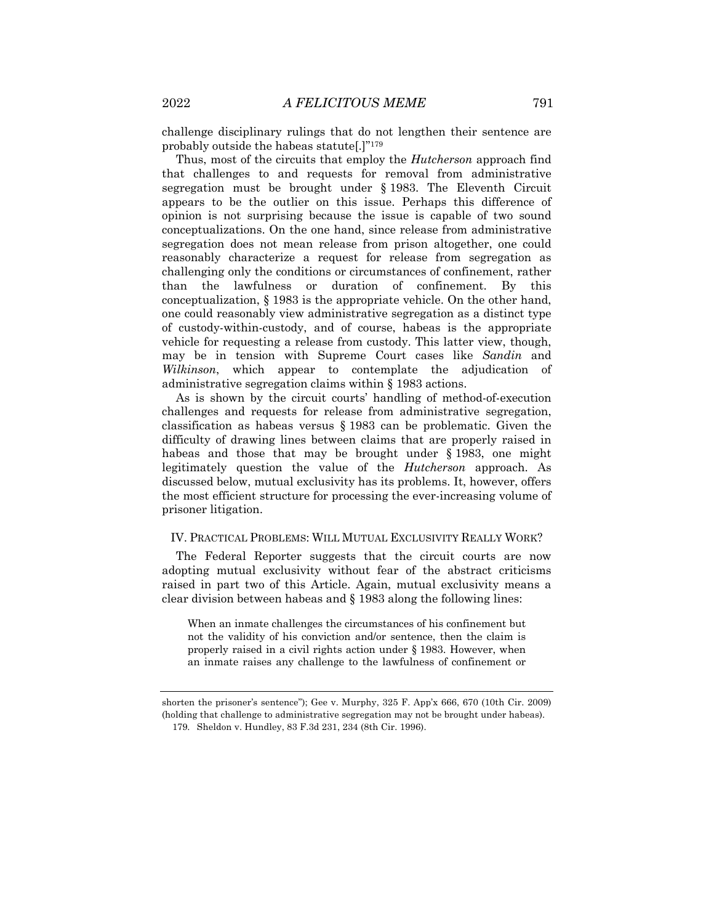challenge disciplinary rulings that do not lengthen their sentence are probably outside the habeas statute[.]"179

Thus, most of the circuits that employ the *Hutcherson* approach find that challenges to and requests for removal from administrative segregation must be brought under § 1983. The Eleventh Circuit appears to be the outlier on this issue. Perhaps this difference of opinion is not surprising because the issue is capable of two sound conceptualizations. On the one hand, since release from administrative segregation does not mean release from prison altogether, one could reasonably characterize a request for release from segregation as challenging only the conditions or circumstances of confinement, rather than the lawfulness or duration of confinement. By this conceptualization, § 1983 is the appropriate vehicle. On the other hand, one could reasonably view administrative segregation as a distinct type of custody-within-custody, and of course, habeas is the appropriate vehicle for requesting a release from custody. This latter view, though, may be in tension with Supreme Court cases like *Sandin* and *Wilkinson*, which appear to contemplate the adjudication of administrative segregation claims within § 1983 actions.

As is shown by the circuit courts' handling of method-of-execution challenges and requests for release from administrative segregation, classification as habeas versus § 1983 can be problematic. Given the difficulty of drawing lines between claims that are properly raised in habeas and those that may be brought under § 1983, one might legitimately question the value of the *Hutcherson* approach. As discussed below, mutual exclusivity has its problems. It, however, offers the most efficient structure for processing the ever-increasing volume of prisoner litigation.

#### IV. PRACTICAL PROBLEMS: WILL MUTUAL EXCLUSIVITY REALLY WORK?

The Federal Reporter suggests that the circuit courts are now adopting mutual exclusivity without fear of the abstract criticisms raised in part two of this Article. Again, mutual exclusivity means a clear division between habeas and § 1983 along the following lines:

When an inmate challenges the circumstances of his confinement but not the validity of his conviction and/or sentence, then the claim is properly raised in a civil rights action under § 1983. However, when an inmate raises any challenge to the lawfulness of confinement or

shorten the prisoner's sentence"); Gee v. Murphy, 325 F. App'x 666, 670 (10th Cir. 2009) (holding that challenge to administrative segregation may not be brought under habeas).

<sup>179.</sup> Sheldon v. Hundley, 83 F.3d 231, 234 (8th Cir. 1996).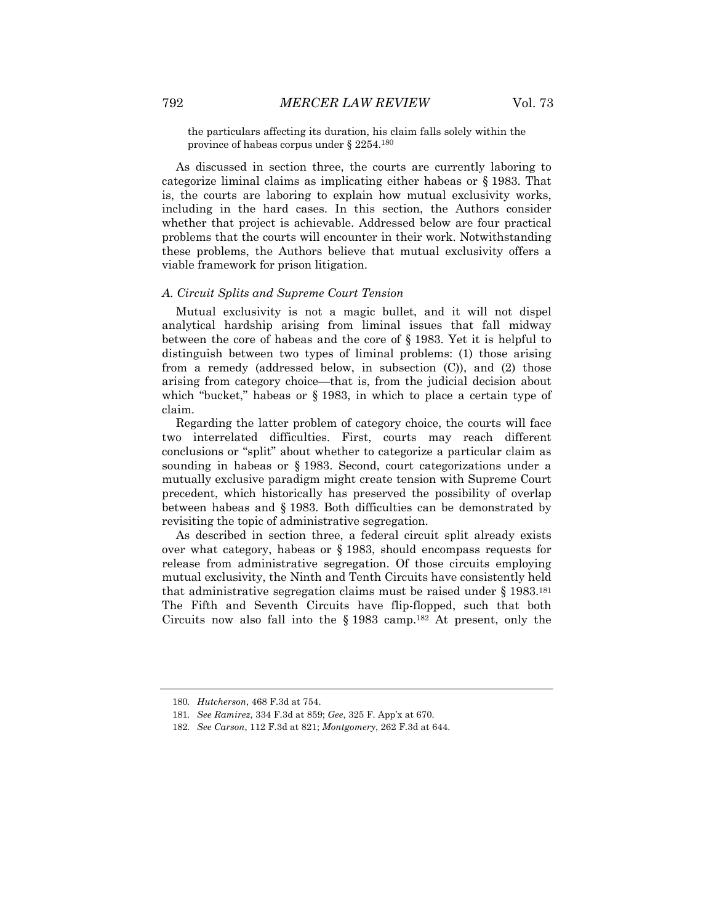the particulars affecting its duration, his claim falls solely within the province of habeas corpus under § 2254.180

As discussed in section three, the courts are currently laboring to categorize liminal claims as implicating either habeas or § 1983. That is, the courts are laboring to explain how mutual exclusivity works, including in the hard cases. In this section, the Authors consider whether that project is achievable. Addressed below are four practical problems that the courts will encounter in their work. Notwithstanding these problems, the Authors believe that mutual exclusivity offers a viable framework for prison litigation.

#### *A. Circuit Splits and Supreme Court Tension*

Mutual exclusivity is not a magic bullet, and it will not dispel analytical hardship arising from liminal issues that fall midway between the core of habeas and the core of § 1983. Yet it is helpful to distinguish between two types of liminal problems: (1) those arising from a remedy (addressed below, in subsection (C)), and (2) those arising from category choice—that is, from the judicial decision about which "bucket," habeas or § 1983, in which to place a certain type of claim.

Regarding the latter problem of category choice, the courts will face two interrelated difficulties. First, courts may reach different conclusions or "split" about whether to categorize a particular claim as sounding in habeas or § 1983. Second, court categorizations under a mutually exclusive paradigm might create tension with Supreme Court precedent, which historically has preserved the possibility of overlap between habeas and § 1983. Both difficulties can be demonstrated by revisiting the topic of administrative segregation.

As described in section three, a federal circuit split already exists over what category, habeas or § 1983, should encompass requests for release from administrative segregation. Of those circuits employing mutual exclusivity, the Ninth and Tenth Circuits have consistently held that administrative segregation claims must be raised under  $\S 1983$ .<sup>181</sup> The Fifth and Seventh Circuits have flip-flopped, such that both Circuits now also fall into the  $\S 1983$  camp.<sup>182</sup> At present, only the

<sup>180</sup>*. Hutcherson*, 468 F.3d at 754.

<sup>181</sup>*. See Ramirez*, 334 F.3d at 859; *Gee*, 325 F. App'x at 670.

<sup>182</sup>*. See Carson*, 112 F.3d at 821; *Montgomery*, 262 F.3d at 644.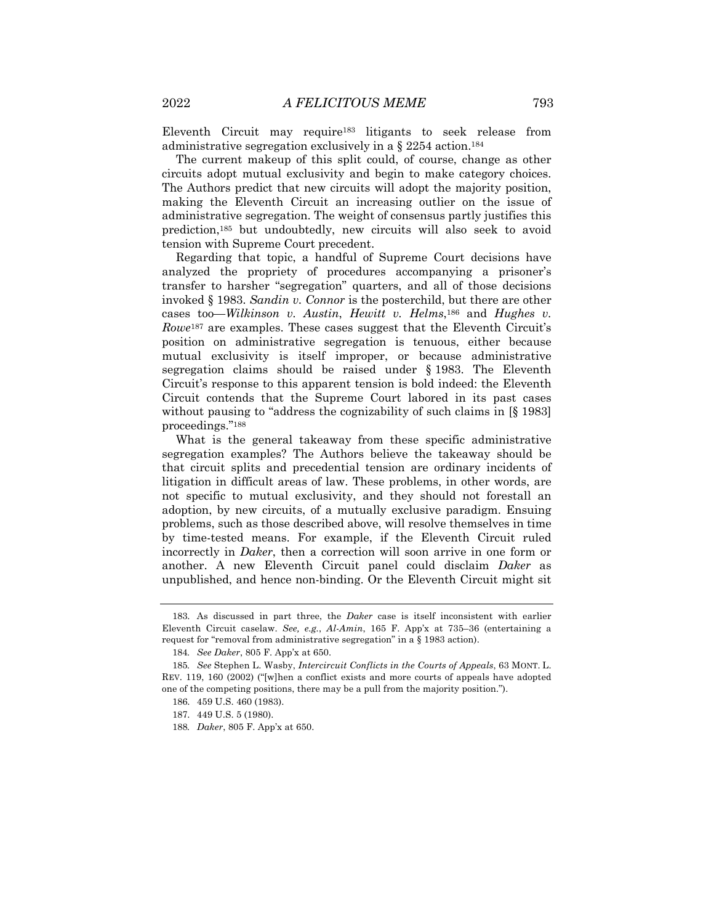Eleventh Circuit may require183 litigants to seek release from administrative segregation exclusively in a  $\S 2254$  action.<sup>184</sup>

The current makeup of this split could, of course, change as other circuits adopt mutual exclusivity and begin to make category choices. The Authors predict that new circuits will adopt the majority position, making the Eleventh Circuit an increasing outlier on the issue of administrative segregation. The weight of consensus partly justifies this prediction,185 but undoubtedly, new circuits will also seek to avoid tension with Supreme Court precedent.

Regarding that topic, a handful of Supreme Court decisions have analyzed the propriety of procedures accompanying a prisoner's transfer to harsher "segregation" quarters, and all of those decisions invoked § 1983. *Sandin v. Connor* is the posterchild, but there are other cases too—*Wilkinson v. Austin*, *Hewitt v. Helms*,186 and *Hughes v. Rowe*<sup>187</sup> are examples. These cases suggest that the Eleventh Circuit's position on administrative segregation is tenuous, either because mutual exclusivity is itself improper, or because administrative segregation claims should be raised under § 1983. The Eleventh Circuit's response to this apparent tension is bold indeed: the Eleventh Circuit contends that the Supreme Court labored in its past cases without pausing to "address the cognizability of such claims in [§ 1983] proceedings."188

What is the general takeaway from these specific administrative segregation examples? The Authors believe the takeaway should be that circuit splits and precedential tension are ordinary incidents of litigation in difficult areas of law. These problems, in other words, are not specific to mutual exclusivity, and they should not forestall an adoption, by new circuits, of a mutually exclusive paradigm. Ensuing problems, such as those described above, will resolve themselves in time by time-tested means. For example, if the Eleventh Circuit ruled incorrectly in *Daker*, then a correction will soon arrive in one form or another. A new Eleventh Circuit panel could disclaim *Daker* as unpublished, and hence non-binding. Or the Eleventh Circuit might sit

<sup>183.</sup> As discussed in part three, the *Daker* case is itself inconsistent with earlier Eleventh Circuit caselaw. *See, e.g.*, *Al-Amin*, 165 F. App'x at 735–36 (entertaining a request for "removal from administrative segregation" in a § 1983 action).

<sup>184</sup>*. See Daker*, 805 F. App'x at 650.

<sup>185</sup>*. See* Stephen L. Wasby, *Intercircuit Conflicts in the Courts of Appeals*, 63 MONT. L. REV. 119, 160 (2002) ("[w]hen a conflict exists and more courts of appeals have adopted one of the competing positions, there may be a pull from the majority position.").

<sup>186.</sup> 459 U.S. 460 (1983).

<sup>187.</sup> 449 U.S. 5 (1980).

<sup>188</sup>*. Daker*, 805 F. App'x at 650.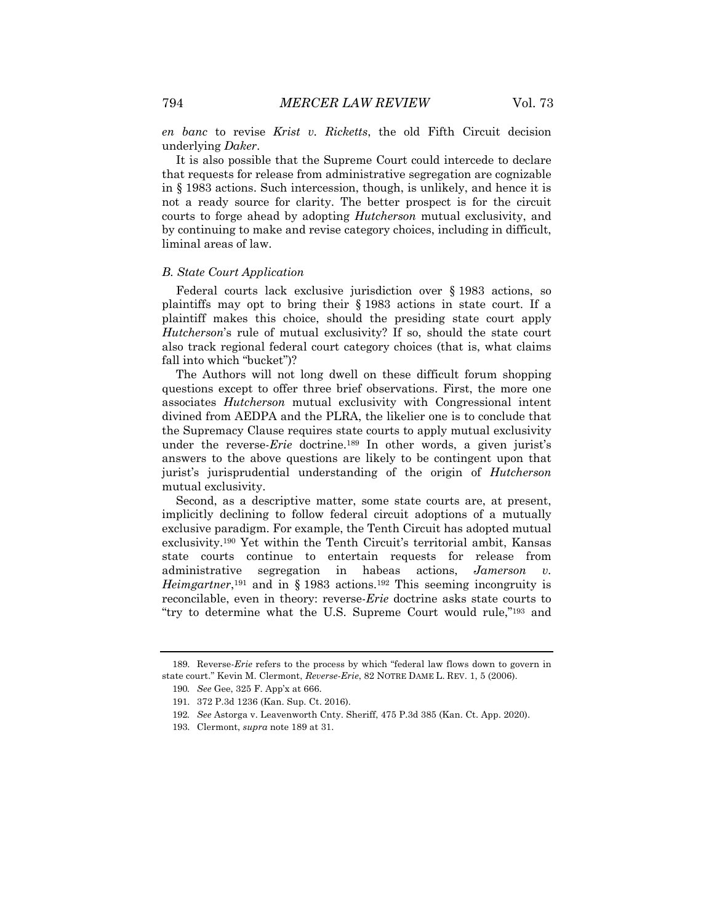*en banc* to revise *Krist v. Ricketts*, the old Fifth Circuit decision underlying *Daker*.

It is also possible that the Supreme Court could intercede to declare that requests for release from administrative segregation are cognizable in § 1983 actions. Such intercession, though, is unlikely, and hence it is not a ready source for clarity. The better prospect is for the circuit courts to forge ahead by adopting *Hutcherson* mutual exclusivity, and by continuing to make and revise category choices, including in difficult, liminal areas of law.

#### *B. State Court Application*

Federal courts lack exclusive jurisdiction over § 1983 actions, so plaintiffs may opt to bring their § 1983 actions in state court. If a plaintiff makes this choice, should the presiding state court apply *Hutcherson*'s rule of mutual exclusivity? If so, should the state court also track regional federal court category choices (that is, what claims fall into which "bucket")?

The Authors will not long dwell on these difficult forum shopping questions except to offer three brief observations. First, the more one associates *Hutcherson* mutual exclusivity with Congressional intent divined from AEDPA and the PLRA, the likelier one is to conclude that the Supremacy Clause requires state courts to apply mutual exclusivity under the reverse-*Erie* doctrine.189 In other words, a given jurist's answers to the above questions are likely to be contingent upon that jurist's jurisprudential understanding of the origin of *Hutcherson* mutual exclusivity.

Second, as a descriptive matter, some state courts are, at present, implicitly declining to follow federal circuit adoptions of a mutually exclusive paradigm. For example, the Tenth Circuit has adopted mutual exclusivity.190 Yet within the Tenth Circuit's territorial ambit, Kansas state courts continue to entertain requests for release from administrative segregation in habeas actions, *Jamerson v. Heimgartner*,<sup>191</sup> and in § 1983 actions.<sup>192</sup> This seeming incongruity is reconcilable, even in theory: reverse-*Erie* doctrine asks state courts to "try to determine what the U.S. Supreme Court would rule,"193 and

<sup>189.</sup> Reverse-*Erie* refers to the process by which "federal law flows down to govern in state court." Kevin M. Clermont, *Reverse-Erie*, 82 NOTRE DAME L. REV. 1, 5 (2006).

<sup>190</sup>*. See* Gee, 325 F. App'x at 666.

<sup>191.</sup> 372 P.3d 1236 (Kan. Sup. Ct. 2016).

<sup>192</sup>*. See* Astorga v. Leavenworth Cnty. Sheriff, 475 P.3d 385 (Kan. Ct. App. 2020).

<sup>193.</sup> Clermont, *supra* note 189 at 31.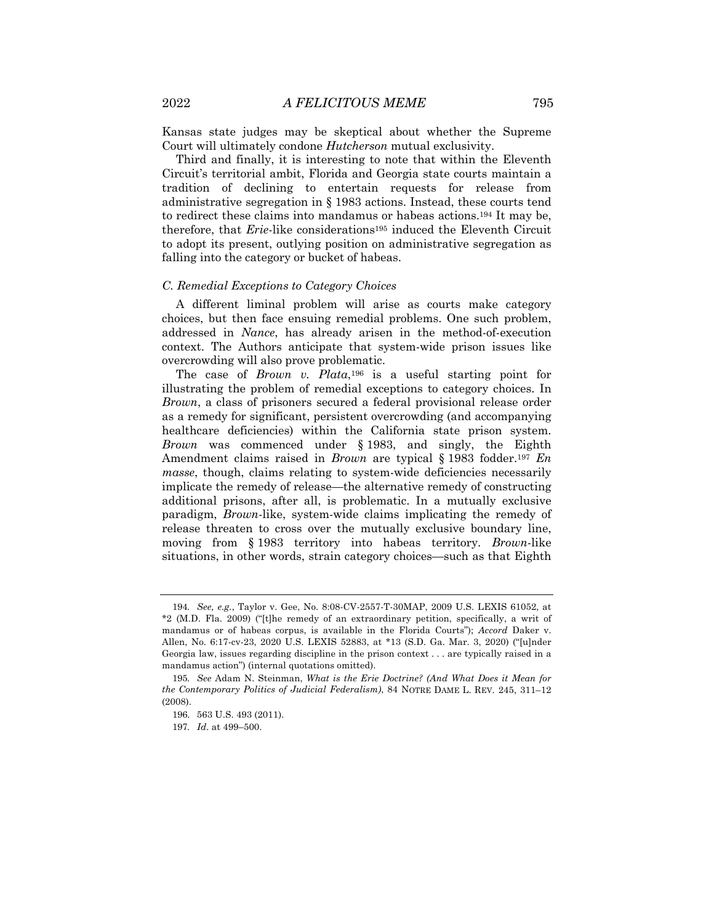Kansas state judges may be skeptical about whether the Supreme Court will ultimately condone *Hutcherson* mutual exclusivity.

Third and finally, it is interesting to note that within the Eleventh Circuit's territorial ambit, Florida and Georgia state courts maintain a tradition of declining to entertain requests for release from administrative segregation in § 1983 actions. Instead, these courts tend to redirect these claims into mandamus or habeas actions.194 It may be, therefore, that *Erie*-like considerations195 induced the Eleventh Circuit to adopt its present, outlying position on administrative segregation as falling into the category or bucket of habeas.

#### *C. Remedial Exceptions to Category Choices*

A different liminal problem will arise as courts make category choices, but then face ensuing remedial problems. One such problem, addressed in *Nance*, has already arisen in the method-of-execution context. The Authors anticipate that system-wide prison issues like overcrowding will also prove problematic.

The case of *Brown v. Plata*,196 is a useful starting point for illustrating the problem of remedial exceptions to category choices. In *Brown*, a class of prisoners secured a federal provisional release order as a remedy for significant, persistent overcrowding (and accompanying healthcare deficiencies) within the California state prison system. *Brown* was commenced under § 1983, and singly, the Eighth Amendment claims raised in *Brown* are typical § 1983 fodder.197 *En masse*, though, claims relating to system-wide deficiencies necessarily implicate the remedy of release—the alternative remedy of constructing additional prisons, after all, is problematic. In a mutually exclusive paradigm, *Brown*-like, system-wide claims implicating the remedy of release threaten to cross over the mutually exclusive boundary line, moving from § 1983 territory into habeas territory. *Brown*-like situations, in other words, strain category choices—such as that Eighth

<sup>194</sup>*. See, e.g.*, Taylor v. Gee, No. 8:08-CV-2557-T-30MAP, 2009 U.S. LEXIS 61052, at \*2 (M.D. Fla. 2009) ("[t]he remedy of an extraordinary petition, specifically, a writ of mandamus or of habeas corpus, is available in the Florida Courts"); *Accord* Daker v. Allen, No. 6:17-cv-23, 2020 U.S. LEXIS 52883, at \*13 (S.D. Ga. Mar. 3, 2020) ("[u]nder Georgia law, issues regarding discipline in the prison context . . . are typically raised in a mandamus action") (internal quotations omitted).

<sup>195</sup>*. See* Adam N. Steinman, *What is the Erie Doctrine? (And What Does it Mean for the Contemporary Politics of Judicial Federalism)*, 84 NOTRE DAME L. REV. 245, 311–12 (2008).

<sup>196.</sup> 563 U.S. 493 (2011).

<sup>197</sup>*. Id*. at 499–500.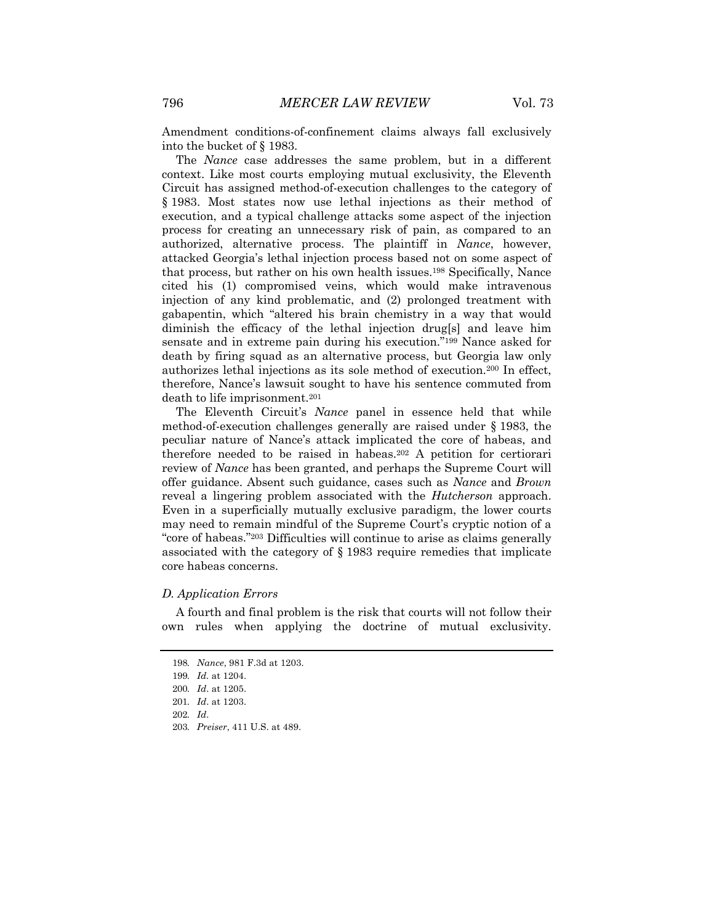Amendment conditions-of-confinement claims always fall exclusively into the bucket of § 1983.

The *Nance* case addresses the same problem, but in a different context. Like most courts employing mutual exclusivity, the Eleventh Circuit has assigned method-of-execution challenges to the category of § 1983. Most states now use lethal injections as their method of execution, and a typical challenge attacks some aspect of the injection process for creating an unnecessary risk of pain, as compared to an authorized, alternative process. The plaintiff in *Nance*, however, attacked Georgia's lethal injection process based not on some aspect of that process, but rather on his own health issues.198 Specifically, Nance cited his (1) compromised veins, which would make intravenous injection of any kind problematic, and (2) prolonged treatment with gabapentin, which "altered his brain chemistry in a way that would diminish the efficacy of the lethal injection drug[s] and leave him sensate and in extreme pain during his execution."199 Nance asked for death by firing squad as an alternative process, but Georgia law only authorizes lethal injections as its sole method of execution.200 In effect, therefore, Nance's lawsuit sought to have his sentence commuted from death to life imprisonment.201

The Eleventh Circuit's *Nance* panel in essence held that while method-of-execution challenges generally are raised under § 1983, the peculiar nature of Nance's attack implicated the core of habeas, and therefore needed to be raised in habeas.202 A petition for certiorari review of *Nance* has been granted, and perhaps the Supreme Court will offer guidance. Absent such guidance, cases such as *Nance* and *Brown* reveal a lingering problem associated with the *Hutcherson* approach. Even in a superficially mutually exclusive paradigm, the lower courts may need to remain mindful of the Supreme Court's cryptic notion of a "core of habeas."203 Difficulties will continue to arise as claims generally associated with the category of § 1983 require remedies that implicate core habeas concerns.

#### *D. Application Errors*

A fourth and final problem is the risk that courts will not follow their own rules when applying the doctrine of mutual exclusivity.

<sup>198</sup>*. Nance*, 981 F.3d at 1203.

<sup>199</sup>*. Id.* at 1204.

<sup>200</sup>*. Id*. at 1205.

<sup>201</sup>*. Id*. at 1203.

<sup>202</sup>*. Id*.

<sup>203</sup>*. Preiser*, 411 U.S. at 489.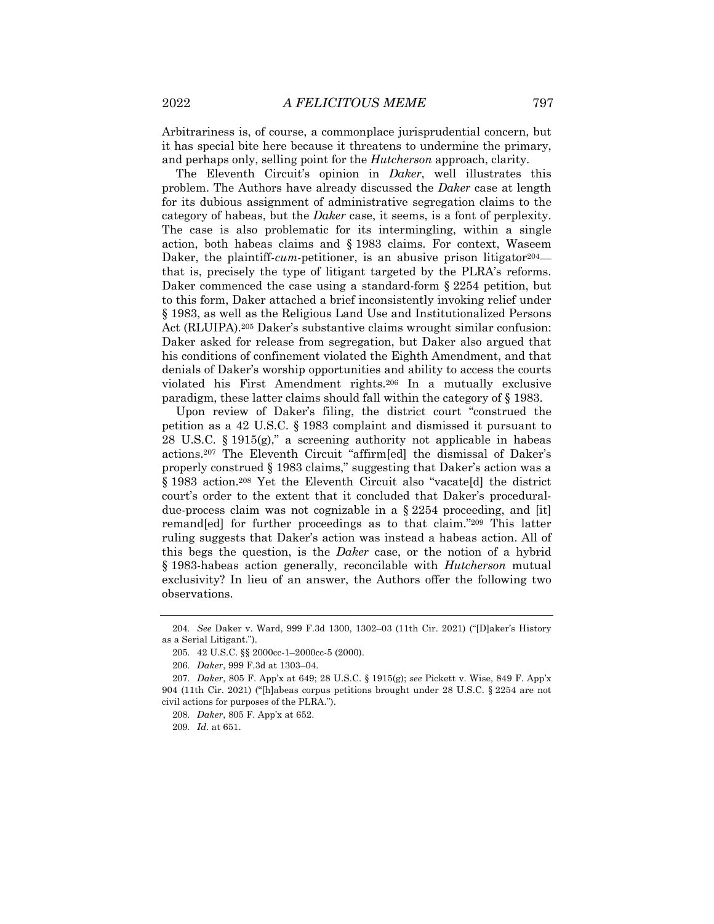Arbitrariness is, of course, a commonplace jurisprudential concern, but it has special bite here because it threatens to undermine the primary, and perhaps only, selling point for the *Hutcherson* approach, clarity.

The Eleventh Circuit's opinion in *Daker*, well illustrates this problem. The Authors have already discussed the *Daker* case at length for its dubious assignment of administrative segregation claims to the category of habeas, but the *Daker* case, it seems, is a font of perplexity. The case is also problematic for its intermingling, within a single action, both habeas claims and § 1983 claims. For context, Waseem Daker, the plaintiff-*cum*-petitioner, is an abusive prison litigator<sup>204</sup> that is, precisely the type of litigant targeted by the PLRA's reforms. Daker commenced the case using a standard-form § 2254 petition, but to this form, Daker attached a brief inconsistently invoking relief under § 1983, as well as the Religious Land Use and Institutionalized Persons Act (RLUIPA).205 Daker's substantive claims wrought similar confusion: Daker asked for release from segregation, but Daker also argued that his conditions of confinement violated the Eighth Amendment, and that denials of Daker's worship opportunities and ability to access the courts violated his First Amendment rights.206 In a mutually exclusive paradigm, these latter claims should fall within the category of § 1983.

Upon review of Daker's filing, the district court "construed the petition as a 42 U.S.C. § 1983 complaint and dismissed it pursuant to 28 U.S.C. § 1915(g)," a screening authority not applicable in habeas actions.207 The Eleventh Circuit "affirm[ed] the dismissal of Daker's properly construed § 1983 claims," suggesting that Daker's action was a § 1983 action.<sup>208</sup> Yet the Eleventh Circuit also "vacate[d] the district court's order to the extent that it concluded that Daker's proceduraldue-process claim was not cognizable in a § 2254 proceeding, and [it] remand[ed] for further proceedings as to that claim."209 This latter ruling suggests that Daker's action was instead a habeas action. All of this begs the question, is the *Daker* case, or the notion of a hybrid § 1983-habeas action generally, reconcilable with *Hutcherson* mutual exclusivity? In lieu of an answer, the Authors offer the following two observations.

<sup>204</sup>*. See* Daker v. Ward, 999 F.3d 1300, 1302–03 (11th Cir. 2021) ("[D]aker's History as a Serial Litigant.").

<sup>205.</sup> 42 U.S.C. §§ 2000cc-1–2000cc-5 (2000).

<sup>206</sup>*. Daker*, 999 F.3d at 1303–04.

<sup>207</sup>*. Daker*, 805 F. App'x at 649; 28 U.S.C. § 1915(g); *see* Pickett v. Wise, 849 F. App'x 904 (11th Cir. 2021) ("[h]abeas corpus petitions brought under 28 U.S.C. § 2254 are not civil actions for purposes of the PLRA.").

<sup>208</sup>*. Daker*, 805 F. App'x at 652.

<sup>209</sup>*. Id.* at 651.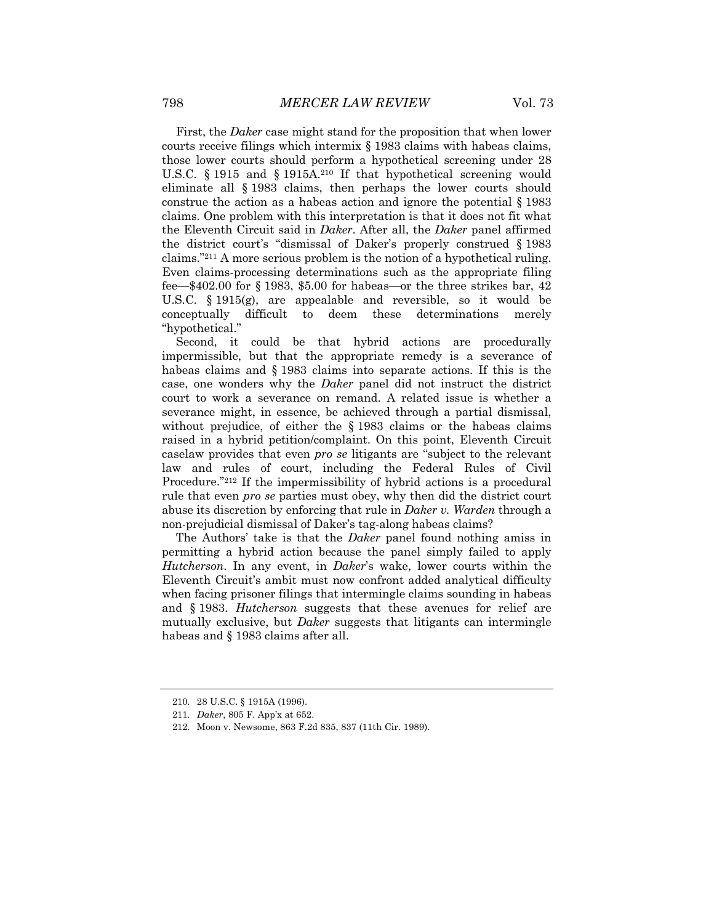First, the *Daker* case might stand for the proposition that when lower courts receive filings which intermix § 1983 claims with habeas claims, those lower courts should perform a hypothetical screening under 28 U.S.C. § 1915 and § 1915A.<sup>210</sup> If that hypothetical screening would eliminate all § 1983 claims, then perhaps the lower courts should construe the action as a habeas action and ignore the potential § 1983 claims. One problem with this interpretation is that it does not fit what the Eleventh Circuit said in *Daker*. After all, the *Daker* panel affirmed the district court's "dismissal of Daker's properly construed § 1983 claims."211 A more serious problem is the notion of a hypothetical ruling. Even claims-processing determinations such as the appropriate filing fee—\$402.00 for § 1983, \$5.00 for habeas—or the three strikes bar, 42 U.S.C. § 1915(g), are appealable and reversible, so it would be conceptually difficult to deem these determinations merely "hypothetical."

Second, it could be that hybrid actions are procedurally impermissible, but that the appropriate remedy is a severance of habeas claims and § 1983 claims into separate actions. If this is the case, one wonders why the *Daker* panel did not instruct the district court to work a severance on remand. A related issue is whether a severance might, in essence, be achieved through a partial dismissal, without prejudice, of either the § 1983 claims or the habeas claims raised in a hybrid petition/complaint. On this point, Eleventh Circuit caselaw provides that even *pro se* litigants are "subject to the relevant law and rules of court, including the Federal Rules of Civil Procedure."212 If the impermissibility of hybrid actions is a procedural rule that even *pro se* parties must obey, why then did the district court abuse its discretion by enforcing that rule in *Daker v. Warden* through a non-prejudicial dismissal of Daker's tag-along habeas claims?

The Authors' take is that the *Daker* panel found nothing amiss in permitting a hybrid action because the panel simply failed to apply *Hutcherson*. In any event, in *Daker*'s wake, lower courts within the Eleventh Circuit's ambit must now confront added analytical difficulty when facing prisoner filings that intermingle claims sounding in habeas and § 1983. *Hutcherson* suggests that these avenues for relief are mutually exclusive, but *Daker* suggests that litigants can intermingle habeas and § 1983 claims after all.

<sup>210.</sup> 28 U.S.C. § 1915A (1996).

<sup>211</sup>*. Daker*, 805 F. App'x at 652.

<sup>212.</sup> Moon v. Newsome, 863 F.2d 835, 837 (11th Cir. 1989).